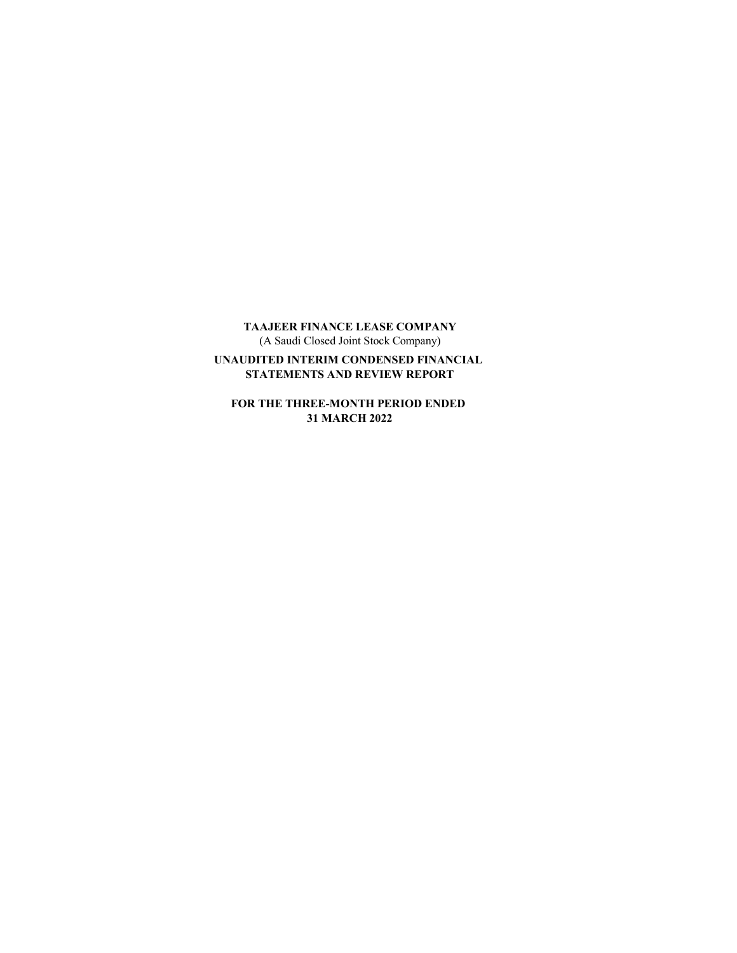TAAJEER FINANCE LEASE COMPANY (A Saudi Closed Joint Stock Company)

UNAUDITED INTERIM CONDENSED FINANCIAL STATEMENTS AND REVIEW REPORT

FOR THE THREE-MONTH PERIOD ENDED 31 MARCH 2022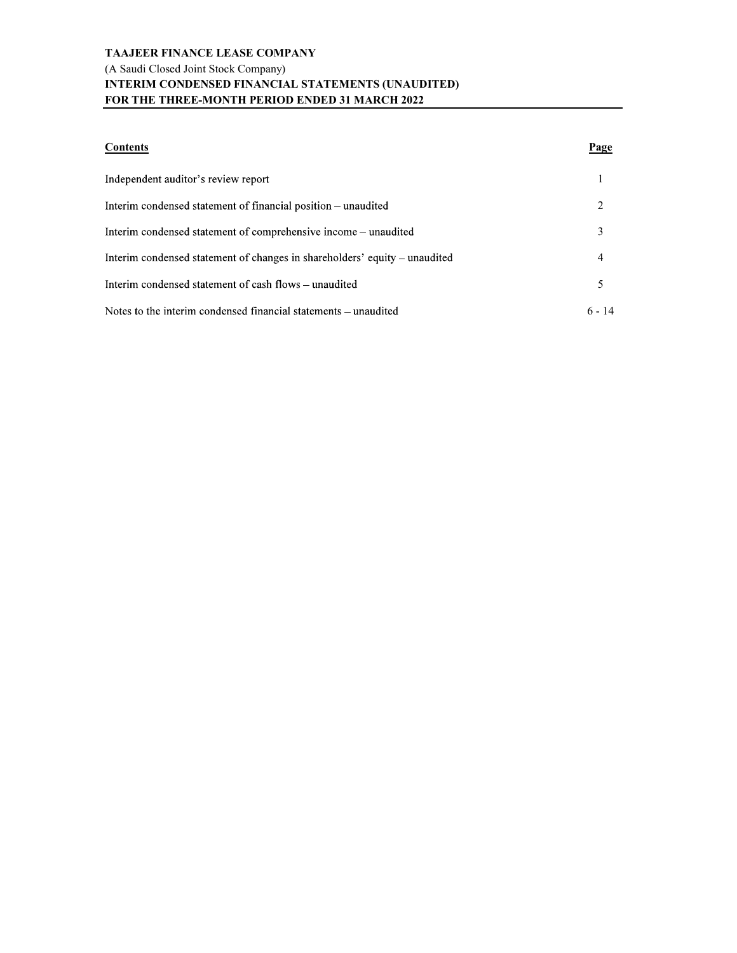### TAAJEER FINANCE LEASE COMPANY (A Saudi Closed Joint Stock Company) INTERIM CONDENSED FINANCIAL STATEMENTS (UNAUDITED) FOR THE THREE-MONTH PERIOD ENDED 31 MARCH 2022

| <b>Contents</b>                                                            | Page     |  |
|----------------------------------------------------------------------------|----------|--|
| Independent auditor's review report                                        |          |  |
| Interim condensed statement of financial position – unaudited              |          |  |
| Interim condensed statement of comprehensive income – unaudited            | 3        |  |
| Interim condensed statement of changes in shareholders' equity – unaudited | 4        |  |
| Interim condensed statement of cash flows – unaudited                      | 5        |  |
| Notes to the interim condensed financial statements – unaudited            | $6 - 14$ |  |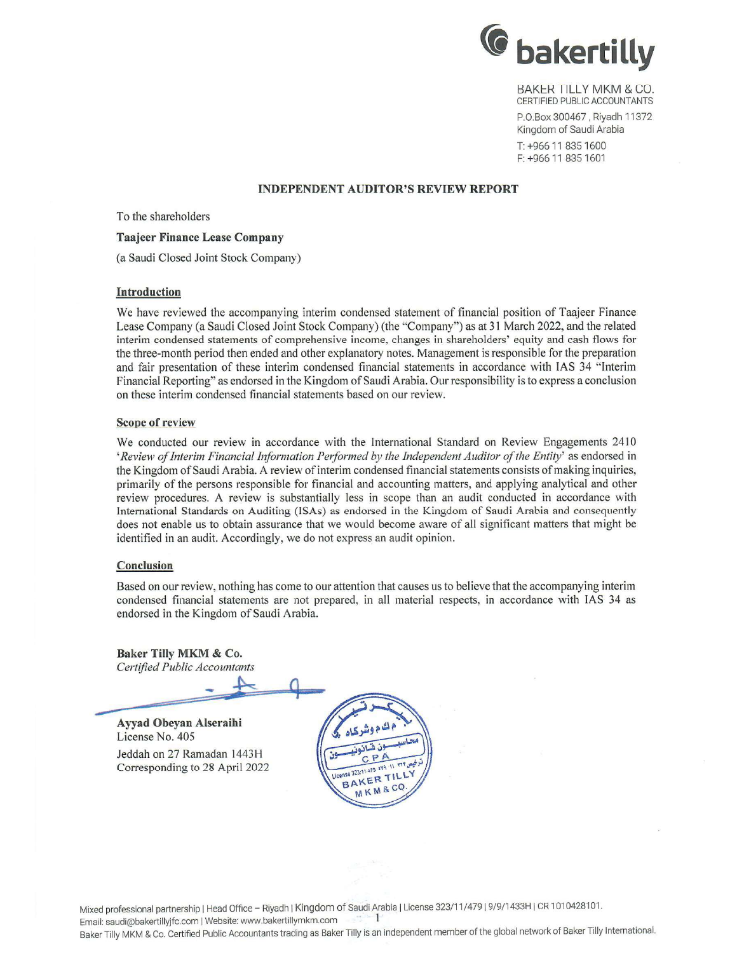

**BAKER TILLY MKM & CO.** CERTIFIED PUBLIC ACCOUNTANTS P.O.Box 300467, Riyadh 11372 Kingdom of Saudi Arabia T: +966 11 835 1600

F: +966 11 835 1601

### **INDEPENDENT AUDITOR'S REVIEW REPORT**

To the shareholders

### **Taajeer Finance Lease Company**

(a Saudi Closed Joint Stock Company)

### Introduction

We have reviewed the accompanying interim condensed statement of financial position of Taajeer Finance Lease Company (a Saudi Closed Joint Stock Company) (the "Company") as at 31 March 2022, and the related interim condensed statements of comprehensive income, changes in shareholders' equity and cash flows for the three-month period then ended and other explanatory notes. Management is responsible for the preparation and fair presentation of these interim condensed financial statements in accordance with IAS 34 "Interim Financial Reporting" as endorsed in the Kingdom of Saudi Arabia. Our responsibility is to express a conclusion on these interim condensed financial statements based on our review.

### **Scope of review**

We conducted our review in accordance with the International Standard on Review Engagements 2410 'Review of Interim Financial Information Performed by the Independent Auditor of the Entity' as endorsed in the Kingdom of Saudi Arabia. A review of interim condensed financial statements consists of making inquiries, primarily of the persons responsible for financial and accounting matters, and applying analytical and other review procedures. A review is substantially less in scope than an audit conducted in accordance with International Standards on Auditing (ISAs) as endorsed in the Kingdom of Saudi Arabia and consequently does not enable us to obtain assurance that we would become aware of all significant matters that might be identified in an audit. Accordingly, we do not express an audit opinion.

### Conclusion

Based on our review, nothing has come to our attention that causes us to believe that the accompanying interim condensed financial statements are not prepared, in all material respects, in accordance with IAS 34 as endorsed in the Kingdom of Saudi Arabia.

Baker Tilly MKM & Co. **Certified Public Accountants** 

Ayyad Obeyan Alseraihi License No. 405 Jeddah on 27 Ramadan 1443H Corresponding to 28 April 2022



Mixed professional partnership | Head Office - Riyadh | Kingdom of Saudi Arabia | License 323/11/479 | 9/9/1433H | CR 1010428101.  $\mathbf{1}$ Email: saudi@bakertillyjfc.com | Website: www.bakertillymkm.com

Baker Tilly MKM & Co. Certified Public Accountants trading as Baker Tilly is an independent member of the global network of Baker Tilly International.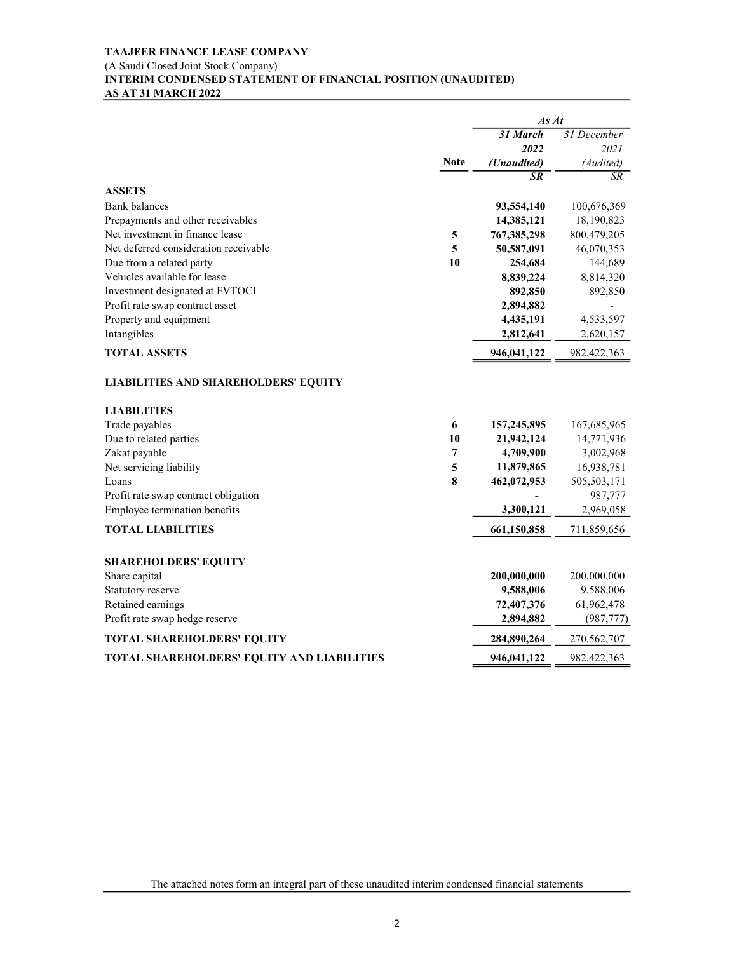### TAAJEER FINANCE LEASE COMPANY (A Saudi Closed Joint Stock Company) INTERIM CONDENSED STATEMENT OF FINANCIAL POSITION (UNAUDITED) AS AT 31 MARCH 2022

| AS AT 31 MARCH 2022                         |             | INTERIM CONDENSED STATEMENT OF FINANCIAL POSITION (UNAUDITED) |                              |
|---------------------------------------------|-------------|---------------------------------------------------------------|------------------------------|
|                                             |             | As At                                                         |                              |
|                                             |             | 31 March                                                      | 31 December                  |
|                                             |             | 2022                                                          | 2021                         |
|                                             | <b>Note</b> | (Unaudited)                                                   | (Audited)<br>$\overline{SR}$ |
| <b>ASSETS</b>                               |             | $S_{R}$                                                       |                              |
| <b>Bank</b> balances                        |             | 93,554,140                                                    | 100,676,369                  |
| Prepayments and other receivables           |             | 14,385,121                                                    | 18,190,823                   |
| Net investment in finance lease             | 5           | 767,385,298                                                   | 800,479,205                  |
| Net deferred consideration receivable       | 5           | 50,587,091                                                    | 46,070,353                   |
| Due from a related party                    | 10          | 254,684                                                       | 144,689                      |
| Vehicles available for lease                |             | 8,839,224                                                     | 8,814,320                    |
| Investment designated at FVTOCI             |             | 892,850                                                       | 892,850                      |
| Profit rate swap contract asset             |             | 2,894,882                                                     |                              |
| Property and equipment                      |             | 4,435,191                                                     | 4,533,597                    |
| Intangibles                                 |             | 2,812,641                                                     | 2,620,157                    |
| <b>TOTAL ASSETS</b>                         |             | 946,041,122                                                   | 982,422,363                  |
| <b>LIABILITIES AND SHAREHOLDERS' EQUITY</b> |             |                                                               |                              |
| <b>LIABILITIES</b>                          |             |                                                               |                              |
| Trade payables                              | 6           | 157,245,895                                                   | 167,685,965                  |
| Due to related parties                      | 10          | 21,942,124                                                    | 14,771,936                   |
| Zakat payable                               | 7           | 4,709,900                                                     | 3,002,968                    |
| Net servicing liability                     | 5           | 11,879,865                                                    | 16,938,781                   |
| Loans                                       | 8           | 462,072,953                                                   | 505,503,171                  |
| Profit rate swap contract obligation        |             |                                                               | 987,777                      |
| Employee termination benefits               |             | 3,300,121                                                     | 2,969,058                    |
| <b>TOTAL LIABILITIES</b>                    |             | 661,150,858                                                   | 711,859,656                  |
| <b>SHAREHOLDERS' EQUITY</b>                 |             |                                                               |                              |
| Share capital                               |             | 200,000,000                                                   | 200,000,000                  |
| Statutory reserve                           |             | 9,588,006                                                     | 9,588,006                    |
| Retained earnings                           |             | 72,407,376                                                    | 61,962,478                   |
| Profit rate swap hedge reserve              |             | 2,894,882                                                     | (987, 777)                   |
| TOTAL SHAREHOLDERS' EQUITY                  |             | 284,890,264                                                   | 270,562,707                  |
| TOTAL SHAREHOLDERS' EQUITY AND LIABILITIES  |             |                                                               | 982,422,363                  |
|                                             |             | 946,041,122                                                   |                              |

The attached notes form an integral part of these unaudited interim condensed financial statements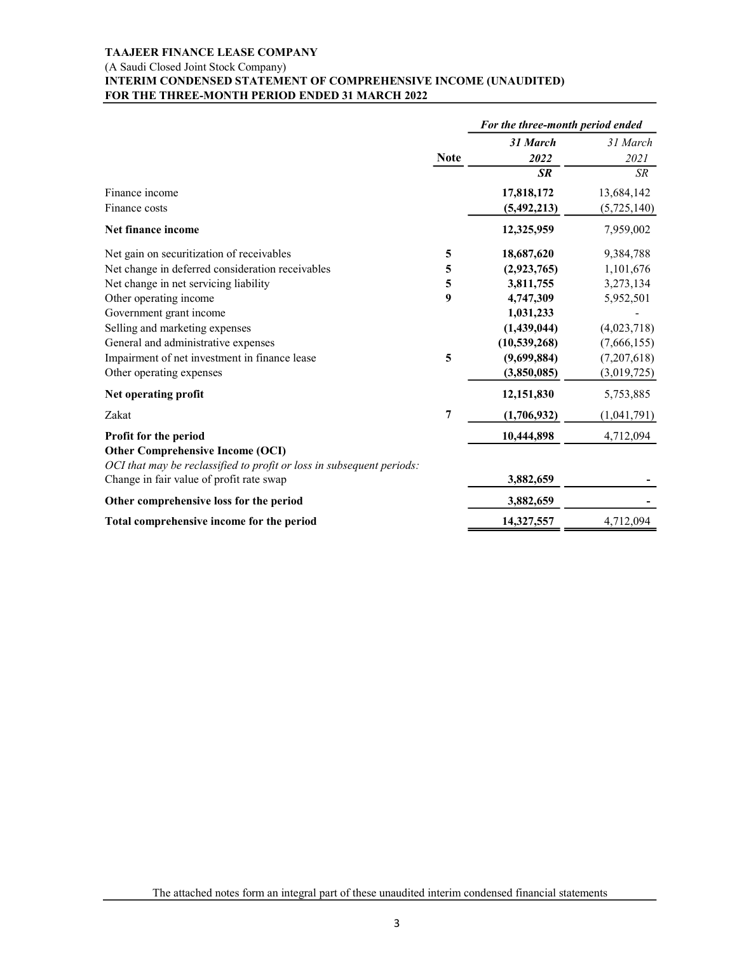### (A Saudi Closed Joint Stock Company)

### INTERIM CONDENSED STATEMENT OF COMPREHENSIVE INCOME (UNAUDITED) FOR THE THREE-MONTH PERIOD ENDED 31 MARCH 2022

| INTERIM CONDENSED STATEMENT OF COMPREHENSIVE INCOME (UNAUDITED)<br>FOR THE THREE-MONTH PERIOD ENDED 31 MARCH 2022 |                |                                  |                           |
|-------------------------------------------------------------------------------------------------------------------|----------------|----------------------------------|---------------------------|
|                                                                                                                   |                | For the three-month period ended |                           |
|                                                                                                                   |                | 31 March                         | 31 March                  |
|                                                                                                                   | <b>Note</b>    | 2022                             | 2021                      |
|                                                                                                                   |                | $S$ $R$                          | SR                        |
| Finance income<br>Finance costs                                                                                   |                | 17,818,172<br>(5,492,213)        | 13,684,142<br>(5,725,140) |
| Net finance income                                                                                                |                | 12,325,959                       | 7,959,002                 |
| Net gain on securitization of receivables                                                                         | 5              | 18,687,620                       | 9,384,788                 |
| Net change in deferred consideration receivables                                                                  | 5              | (2,923,765)                      | 1,101,676                 |
| Net change in net servicing liability                                                                             | 5              | 3,811,755                        | 3,273,134                 |
| Other operating income                                                                                            | 9              | 4,747,309                        | 5,952,501                 |
| Government grant income                                                                                           |                | 1,031,233                        |                           |
| Selling and marketing expenses                                                                                    |                | (1,439,044)                      | (4,023,718)               |
| General and administrative expenses                                                                               |                | (10, 539, 268)                   | (7,666,155)               |
| Impairment of net investment in finance lease                                                                     | 5              | (9,699,884)                      | (7,207,618)               |
| Other operating expenses                                                                                          |                | (3,850,085)                      | (3,019,725)               |
| Net operating profit                                                                                              |                | 12,151,830                       | 5,753,885                 |
| Zakat                                                                                                             | $\overline{7}$ | (1,706,932)                      | (1,041,791)               |
| Profit for the period<br><b>Other Comprehensive Income (OCI)</b>                                                  |                | 10,444,898                       | 4,712,094                 |
| OCI that may be reclassified to profit or loss in subsequent periods:                                             |                |                                  |                           |
| Change in fair value of profit rate swap                                                                          |                | 3,882,659                        |                           |
| Other comprehensive loss for the period                                                                           |                | 3,882,659                        |                           |
| Total comprehensive income for the period                                                                         |                | 14,327,557                       | 4,712,094                 |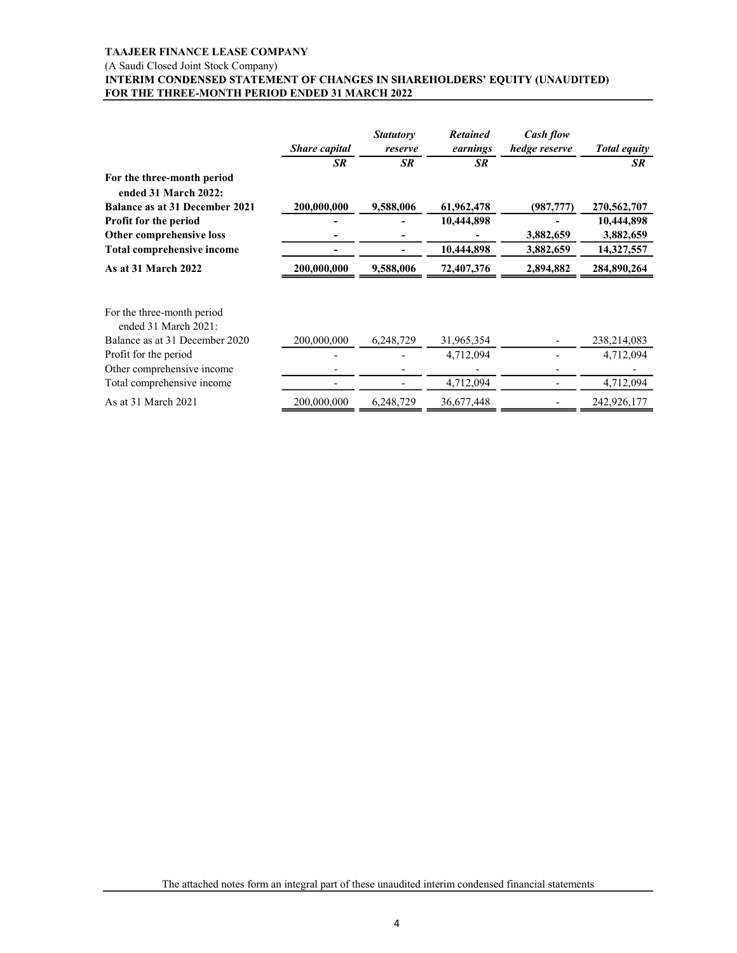### (A Saudi Closed Joint Stock Company)<br>INTERIM CONDENSED STATEMENT OF CHANGES IN SHAREHOLDERS' EQUITY (UNAUDITED) FOR THE THREE-MONTH PERIOD ENDED 31 MARCH 2022

| <b>TAAJEER FINANCE LEASE COMPANY</b>                                       |                                                      |                          |                 |                          |                         |
|----------------------------------------------------------------------------|------------------------------------------------------|--------------------------|-----------------|--------------------------|-------------------------|
| (A Saudi Closed Joint Stock Company)                                       |                                                      |                          |                 |                          |                         |
| INTERIM CONDENSED STATEMENT OF CHANGES IN SHAREHOLDERS' EQUITY (UNAUDITED) |                                                      |                          |                 |                          |                         |
| FOR THE THREE-MONTH PERIOD ENDED 31 MARCH 2022                             |                                                      |                          |                 |                          |                         |
|                                                                            |                                                      |                          |                 |                          |                         |
|                                                                            |                                                      | <b>Statutory</b>         | <b>Retained</b> | Cash flow                |                         |
|                                                                            | Share capital                                        | reserve                  | earnings        | hedge reserve            | <b>Total equity</b>     |
|                                                                            | $\overline{SR}$                                      | SR                       | $S$ $R$         |                          | SR                      |
| For the three-month period                                                 |                                                      |                          |                 |                          |                         |
| ended 31 March 2022:                                                       |                                                      |                          |                 |                          |                         |
| Balance as at 31 December 2021                                             | 200,000,000                                          | 9,588,006                | 61,962,478      | (987, 777)               | 270,562,707             |
| Profit for the period                                                      |                                                      | $\blacksquare$           | 10,444,898      | $\overline{\phantom{a}}$ | 10,444,898              |
| Other comprehensive loss<br>Total comprehensive income                     | $\overline{\phantom{a}}$<br>$\overline{\phantom{a}}$ | $\overline{\phantom{a}}$ | 10,444,898      | 3,882,659<br>3,882,659   | 3,882,659<br>14,327,557 |
| As at 31 March 2022                                                        | 200,000,000                                          | 9,588,006                | 72,407,376      | 2,894,882                | 284,890,264             |
|                                                                            |                                                      |                          |                 |                          |                         |
|                                                                            |                                                      |                          |                 |                          |                         |
| For the three-month period<br>ended 31 March 2021:                         |                                                      |                          |                 |                          |                         |
| Balance as at 31 December 2020                                             | 200,000,000                                          | 6,248,729                | 31,965,354      |                          | 238,214,083             |
| Profit for the period                                                      |                                                      |                          | 4,712,094       |                          | 4,712,094               |
| Other comprehensive income                                                 | $\overline{\phantom{a}}$                             | $\overline{\phantom{0}}$ |                 |                          |                         |
| Total comprehensive income                                                 | $\sim$                                               | $\overline{\phantom{a}}$ | 4,712,094       | $\sim$                   | 4,712,094               |
|                                                                            | 200,000,000                                          | 6,248,729                | 36,677,448      |                          | 242,926,177             |
| As at 31 March 2021                                                        |                                                      |                          |                 |                          |                         |

The attached notes form an integral part of these unaudited interim condensed financial statements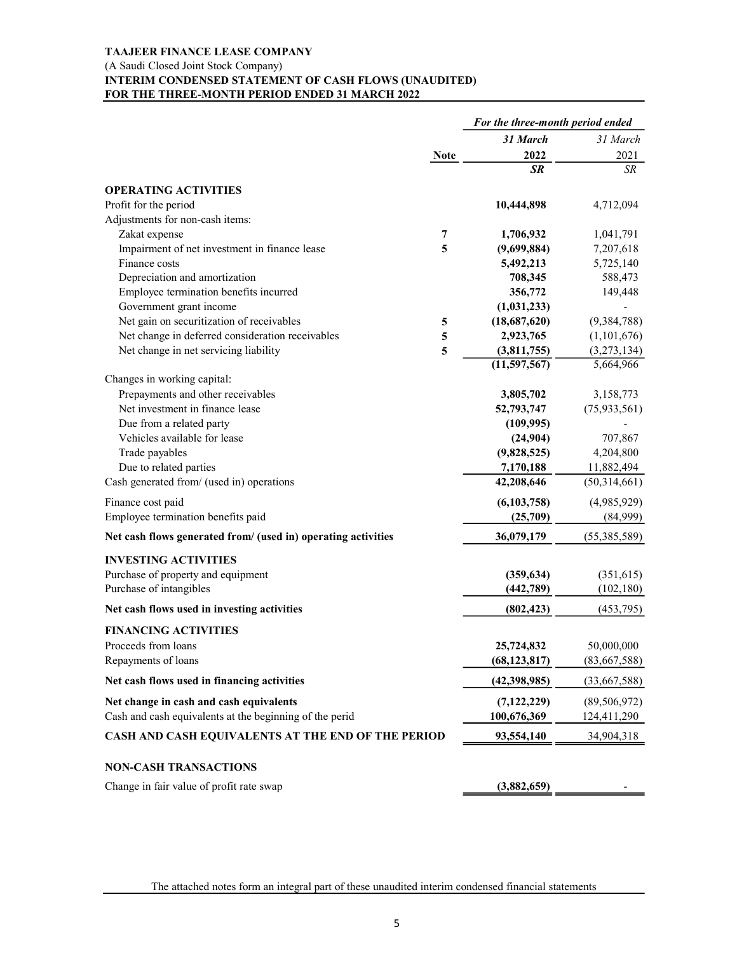### TAAJEER FINANCE LEASE COMPANY (A Saudi Closed Joint Stock Company) INTERIM CONDENSED STATEMENT OF CASH FLOWS (UNAUDITED) FOR THE THREE-MONTH PERIOD ENDED 31 MARCH 2022

| FOR THE THREE-MONTH PERIOD ENDED 31 MARCH 2022                       | INTERIM CONDENSED STATEMENT OF CASH FLOWS (UNAUDITED) |                                  |                         |
|----------------------------------------------------------------------|-------------------------------------------------------|----------------------------------|-------------------------|
|                                                                      |                                                       | For the three-month period ended |                         |
|                                                                      |                                                       | 31 March                         | 31 March                |
|                                                                      | <b>Note</b>                                           | 2022<br><b>SR</b>                | 2021<br>$\overline{SR}$ |
|                                                                      |                                                       |                                  |                         |
| <b>OPERATING ACTIVITIES</b><br>Profit for the period                 |                                                       | 10,444,898                       | 4,712,094               |
| Adjustments for non-cash items:                                      |                                                       |                                  |                         |
| Zakat expense                                                        | 7                                                     | 1,706,932                        | 1,041,791               |
| Impairment of net investment in finance lease                        | 5                                                     | (9,699,884)                      | 7,207,618               |
| Finance costs                                                        |                                                       | 5,492,213                        | 5,725,140               |
| Depreciation and amortization                                        |                                                       | 708,345                          | 588,473                 |
| Employee termination benefits incurred                               |                                                       | 356,772                          | 149,448                 |
| Government grant income<br>Net gain on securitization of receivables |                                                       | (1,031,233)<br>(18,687,620)      | (9, 384, 788)           |
| Net change in deferred consideration receivables                     | 5<br>5                                                | 2,923,765                        | (1,101,676)             |
| Net change in net servicing liability                                | 5                                                     | (3,811,755)                      | (3,273,134)             |
|                                                                      |                                                       | (11, 597, 567)                   | 5,664,966               |
| Changes in working capital:                                          |                                                       |                                  |                         |
| Prepayments and other receivables                                    |                                                       | 3,805,702                        | 3,158,773               |
| Net investment in finance lease                                      |                                                       | 52,793,747                       | (75, 933, 561)          |
| Due from a related party                                             |                                                       | (109, 995)                       |                         |
| Vehicles available for lease                                         |                                                       | (24,904)                         | 707,867                 |
| Trade payables                                                       |                                                       | (9,828,525)<br>7,170,188         | 4,204,800<br>11,882,494 |
| Due to related parties<br>Cash generated from/ (used in) operations  |                                                       | 42,208,646                       | (50,314,661)            |
|                                                                      |                                                       |                                  |                         |
| Finance cost paid<br>Employee termination benefits paid              |                                                       | (6,103,758)                      | (4,985,929)             |
|                                                                      |                                                       | (25,709)                         | (84,999)                |
| Net cash flows generated from/ (used in) operating activities        |                                                       | 36,079,179                       | (55,385,589)            |
| <b>INVESTING ACTIVITIES</b>                                          |                                                       |                                  |                         |
| Purchase of property and equipment                                   |                                                       | (359, 634)                       | (351, 615)              |
| Purchase of intangibles                                              |                                                       | (442,789)                        | (102, 180)              |
| Net cash flows used in investing activities                          |                                                       | (802, 423)                       | (453,795)               |
| <b>FINANCING ACTIVITIES</b>                                          |                                                       |                                  |                         |
| Proceeds from loans                                                  |                                                       | 25,724,832                       | 50,000,000              |
| Repayments of loans                                                  |                                                       | (68, 123, 817)                   | (83,667,588)            |
|                                                                      |                                                       |                                  |                         |
| Net cash flows used in financing activities                          |                                                       | (42, 398, 985)                   | (33,667,588)            |
| Net change in cash and cash equivalents                              |                                                       | (7, 122, 229)                    | (89, 506, 972)          |
| Cash and cash equivalents at the beginning of the perid              |                                                       | 100,676,369                      | 124,411,290             |
| CASH AND CASH EQUIVALENTS AT THE END OF THE PERIOD                   |                                                       | 93,554,140                       | 34,904,318              |
|                                                                      |                                                       |                                  |                         |
| <b>NON-CASH TRANSACTIONS</b>                                         |                                                       |                                  |                         |
| Change in fair value of profit rate swap                             |                                                       | (3,882,659)                      |                         |

The attached notes form an integral part of these unaudited interim condensed financial statements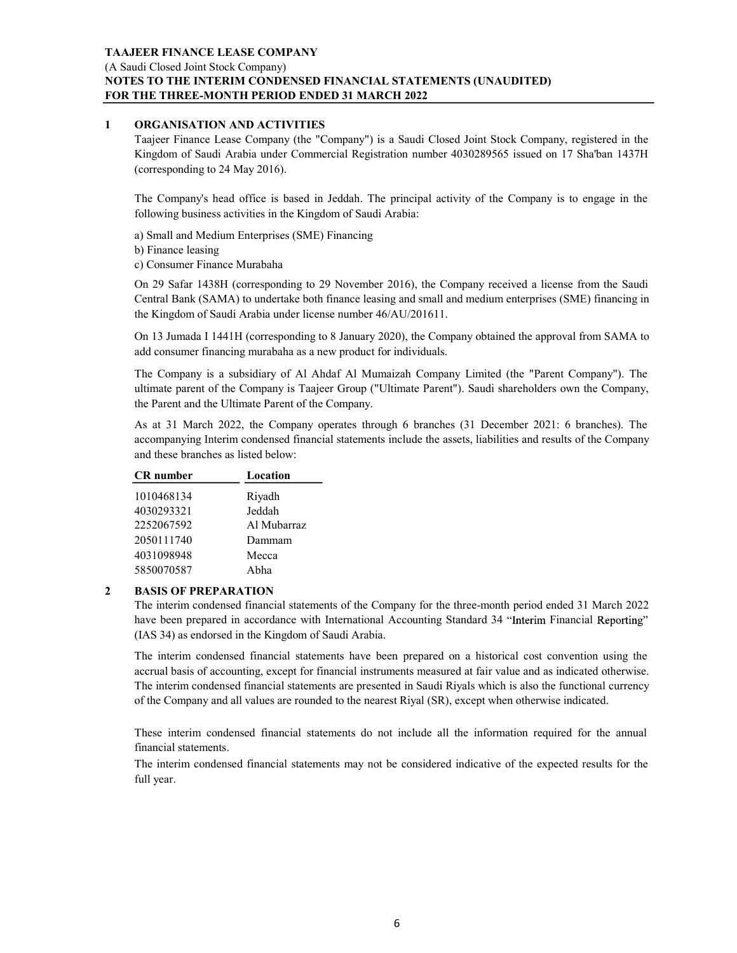# TAAJEER FINANCE LEASE COMPANY (A Saudi Closed Joint Stock Company) NOTES TO THE INTERIM CONDENSED FINANCIAL STATEMENTS (UNAUDITED) FOR THE THREE-MONTH PERIOD ENDED 31 MARCH 2022 TAAJEER FINANCE LEASE COMPANY<br>
(A Saudi Closed Joint Stock Company)<br>
NOTES TO THE INTERIM CONDENSED FINANCIAL STATEMENTS (UNAUDITE<br>
FOR THE THREE-MONTH PERIOD ENDED 31 MARCH 2022<br>
1 ORGANISATION AND ACTIVITIES<br>
Tagier Fina EER FINANCE LEASE COMPANY<br>adi Closed Joint Stock Company)<br>SIS TO THE INTERINI CONDENSED FINANCIAL STATEMENTS (UNAUDITED)<br>THE THREE-MONTH PERIOD ENDED 31 MARCH 2022<br>ORGANISATION AND ACTIVITIES<br>Taigetor Finance Lease Company EER FINANCE LEASE COMPANY<br>
SIS TO THE INTERIM CONDENSED FINANCIAL STATEMENTS (UNAUDITED)<br>
THE THREE-MONTH PERIOD ENDED 31 MARCH 2022<br>
ORGANISATION AND ACTIVITIES<br>
Taajeer Finance Lease Company (the "Company") is a Saudi Cl EER FINANCE LEASE COMPANY<br>
SI TO THE INTERIM CONDENSED FINANCIAL STATEMENTS (UNAUDITED)<br>
THE THREE-MONTH PERIOD ENDED 31 MARCH 2022<br>
ORGANISATION AND ACTIVITIES<br>
Tagier Finance Lease Commercial Registration number 40302895 EER FINANCE LEASE COMPANY<br>ddi Closed Joint Stock Company)<br>THE THREE-MONTH PERIOD ENDED 31 MARCH 2022<br>THE THREE-MONTH PERIOD ENDED 31 MARCH 2022<br>ORGANISATION AND ACTIVITIES<br>Tagier Finance Lease Company (the "Company") is a EER FINANCE LEASE COMPANY<br>
adi Closed Joint Stock Company)<br>
THE THREE-MONTH PERIOD ENDED 31 MARCHI 2022<br>
ORCANISATION AND ACTIVITIES<br>
OF THE THREE-MONTH PERIOD ENDED 31 MARCHI 2022<br>
Taijeer Finance Lease Company (the "Comp EER FINANCE LEASE COMPANY<br>
aid Closed Joint Stock Company)<br>
SIS TO THE INTERIM CONDENSED FINANCIAL STATEMENTS (UNAUDITED)<br>
THE THREF-MONTH PERIOD ENDED 31 MARCH 2022<br>
ORGANISATION AND ACTIVITIES<br>
Taigelor Finance Lease Com

(corresponding to 24 May 2016).

following business activities in the Kingdom of Saudi Arabia:

a) Small and Medium Enterprises (SME) Financing

b) Finance leasing

c) Consumer Finance Murabaha

the Kingdom of Saudi Arabia under license number 46/AU/201611. dicTosed Doint Stock Company)<br>
STO THE INTERIM CONDENSED FINANCIAL STATEMENTS (UNAUDITED)<br>
THE THREE-MONTH PERIOD ENDED 31 MARCH 2022<br>
ORGANISATION AND ACTIVITIES<br>
ORGANISATION AND ACTIVITIES<br>
Company (the "Company") is a IS TO THE INTERING CONDENSED FINANCIAL STATEMENTS (UNAUDITED)<br>
THE THREE-MONTH PERIOD ENDED B MARCH 2022<br>
Taigret Finance Lease Company (the "Company") is a Saudi Closed Joint Stock Company, registered in the Kingdom of Sa **ORGANISATION AND ACTIVITIES**<br>Tasject Finance Lease Company' (he "Company") is a Saudi Closed Joint Stock Company, registered in the Kingdom of Saudi Ardhia under Commercial Registration number 4030289565 issued on 17 Shab own on Santa (Sale) The Company (the Company) is a Saudi Closed Joint Stock Company, registered in the Kingdom of Saudi Arabia:<br>Taigler Finance Lease Company (the Company') is a Saudi Closed Joint Stock Company, registered

add consumer financing murabaha as a new product for individuals.

Central Bank (SAMA) to undertate both finance leasing and small and medium enterprises (SME) financing in<br>
the Eviagoro of Swoid Arabia under license number 46/AU/201611.<br>
On 13 Jumada 11441H (corresponding to 8 January 2 the Parent and the Ultimate Parent of the Company.

and these branches as listed below:

|   |                                     | On 29 Safar 1438H (corresponding to 29 November 2016), the Company received a license from<br>Central Bank (SAMA) to undertake both finance leasing and small and medium enterprises (SME)<br>the Kingdom of Saudi Arabia under license number 46/AU/201611. |
|---|-------------------------------------|--------------------------------------------------------------------------------------------------------------------------------------------------------------------------------------------------------------------------------------------------------------|
|   |                                     | On 13 Jumada I 1441H (corresponding to 8 January 2020), the Company obtained the approval from<br>add consumer financing murabaha as a new product for individuals.                                                                                          |
|   |                                     | The Company is a subsidiary of Al Ahdaf Al Mumaizah Company Limited (the "Parent Com<br>ultimate parent of the Company is Taajeer Group ("Ultimate Parent"). Saudi shareholders own th<br>the Parent and the Ultimate Parent of the Company.                 |
|   | and these branches as listed below: | As at 31 March 2022, the Company operates through 6 branches (31 December 2021: 6 bra<br>accompanying Interim condensed financial statements include the assets, liabilities and results of t                                                                |
|   | <b>CR</b> number                    | Location                                                                                                                                                                                                                                                     |
|   | 1010468134                          | Riyadh                                                                                                                                                                                                                                                       |
|   | 4030293321                          | Jeddah                                                                                                                                                                                                                                                       |
|   | 2252067592                          | Al Mubarraz                                                                                                                                                                                                                                                  |
|   | 2050111740                          | Dammam                                                                                                                                                                                                                                                       |
|   | 4031098948                          | Mecca                                                                                                                                                                                                                                                        |
|   | 5850070587                          | Abha                                                                                                                                                                                                                                                         |
| 2 | <b>BASIS OF PREPARATION</b>         | The interim condensed financial statements of the Company for the three-month period ended 31<br>have been prepared in accordance with International Accounting Standard 34 "Interim Financia<br>(IAS 34) as endorsed in the Kingdom of Saudi Arabia.        |
|   |                                     | The interim condensed financial statements have been prepared on a historical cost convention<br>accrual basis of accounting, except for financial instruments measured at fair value and as indicate                                                        |

(IAS 34) as endorsed in the Kingdom of Saudi Arabia.

As 31 March 2022, the Company operates through 6 branches (31 December 2021: 6 branches). The<br>accompanying Interim condensed financial statements include the assets, liabilities and reaults of the Company<br>and these branch and these branches as listed below:<br>
The undentantial condensed financial<br>
10104681334 <br>
1020593321<br>
2050111740 Dammam<br>
2050111740 Dammam<br>
20501070587 Metca<br>
Abbaraz<br>
The interim condensed financial statements of the Compa the Kingdom of Saudi Arabia under license number 46/AU/201611.<br>
On 13 Jumada 11441H (corresponding to 8 January 2020), the Company obtained the approval from SAMA to<br>
and consumer frameing murahaha as a new product for ind and consumer financing murahaha as a new product for individuals.<br>The Compary is a subsidiary of Al Andra Al Muniazial Company Limited (the "Parent Company,<br>Unlimate parent of the Company is Taajcer Group ("Ultimate Parent The Company is a subsidiary of Al Ahdaf Al Mumaizah Company Limited (the "Parent Company"). The ultimate parent of the Company is Tagieer Group ("Ultimate Parent"). Saudi shareholders own the Company, As at 31 March 2022, The Company is a subsestive of Al Andra Al Numarzan Company Limited (tae "Parent Company).<br>
The Company is Taiglers (Toup ("Ultimate Parent"). Statis shareholders own the Company,<br>
the Parent and the Ultimate Parent of the of the Company and all values are rounded to the nearest Riyal (SR), except when otherwise indicated.

financial statements.

full year.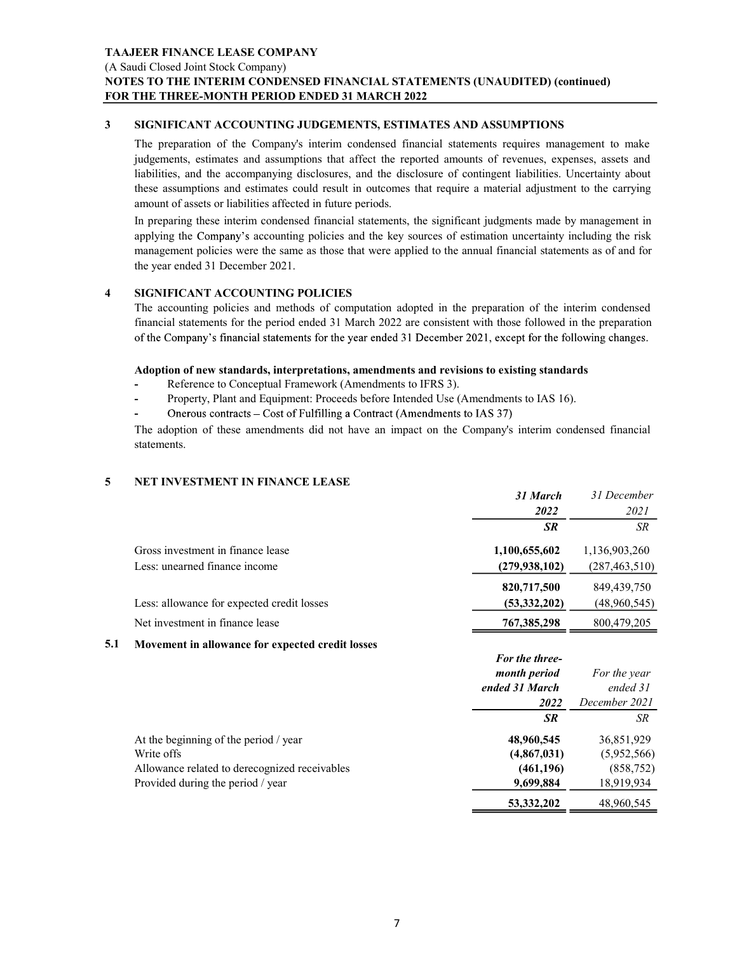(A Saudi Closed Joint Stock Company)

### NOTES TO THE INTERIM CONDENSED FINANCIAL STATEMENTS (UNAUDITED) (continued) FOR THE THREE-MONTH PERIOD ENDED 31 MARCH 2022

TAAJEER FINANCE LEASE COMPANY<br>
(A Saudi Closed Joint Stock Company)<br>
NOTES TO THE INTERIM CONDENSED FINANCIAL STATEMENTS (UNAUDITED) (continued)<br>
FOR THE THREE-MONTH PERIOD ENDED 31 MARCH 2022<br>
SIGNIFICANT ACCOUNTING JUDGE TAAJEER FINANCE LEASE COMPANY<br>
(A Saudi Closed Joint Stock Company)<br>
NOTES TO THE INTERIM CONDENSED FINANCIAL STATEMENTS (UNAUDITED) (or<br>
FOR THE THREE-MONTH PERIOD ENDED 31 MARCH 2022<br>
3<br>
SIGNIFICANT ACCOUNTING JUDGEMENTS EER FINANCE LEASE COMPANY<br>
SIS TO THE INTERIM CONDENSED FINANCIAL STATEMENTS (UNAUDITED) (continued)<br>
THE THREE-MONTH PERIOD ENDED 31 MARCH 2022<br>
SIGNIFICANT ACCOUNTING JUDGEMENTS, ESTIMATES AND ASSUMPTIONS<br>
The preparatio **EER FINANCE LEASE COMPANY**<br>
SITO THE INTERIM CONDENSED FINANCIAL STATEMENTS (UNAUDITED) (continued)<br>
THE THREE-MONTH PERIOD ENDED 31 MARCH 2022<br>
SIGNIFICANT ACCOUNTING JUDGEMENTS, ESTIMATES AND ASSUMPTIONS<br>
The preparatio EER FINANCE LEASE COMPANY<br>
dd Closed Joint Stock Company)<br>
CS TO THE INTERIM CONDENSED FINANCIAL STATEMENTS (UNAUDITED) (continued)<br>
THE THREE-MONTH PERIOD ENDED 31 MARCH 2022<br>
SIGNIFICANT ACCOUNTING JUDGEMENTS, ESTIMATES THE THY ANCE LEASE COMPANY<br>
THE Closed Joint Stock Company)<br>
SS TO THE INTERIM CONDENSED FINANCIAL STATEMENTS (UNAUDITED) (continued)<br>
THE THREE-MONTH PERIOD ENDED 31 MARCH 2022<br>
SIGNIFICANT ACCOUNTING JUDGEMENTS, ESTIMATE amount of assets or liabilities affected in future periods. EER FINANCE LEASE COMPANY<br>
Idi Closed Joint Stock Company)<br>
IS TO THE INTERIM CONDENSED FINANCIAL STATEMENTS (UNAUDITED) (continued)<br>
IHE THREE-MONTH PERIOD ENDED 31 MARCH 2022<br>
SIGNIFICANT ACCOUNTING JUDGEMENTS, ESTIMATES EER FINANCE LEASE COMPANY<br>
adi Closed Joint Stock Company)<br>
SE TO THE INTERIM CONDENSED FINANCIAL STATEMENTS (UNAUDITED) (continued)<br>
THE THREE-MONTH PERIOD ENDED 31 MARCH 2022<br>
SIGNIFICANT ACCOUNTING JUDGEMENTS, ESTIMATES EER FINANCE LEASE COMPANY<br>idi Closed Joint Stock Company)<br>STO THE INTERIM CONDENSED FINANCIAL STATEMENTS (UNAUDITED) (continued)<br>THE TIRREE-MONTH PERIOD ENDED 31 MARCH 2022<br>CSNIFICANT ACCOUNTING JUDGEMENTS, ESTIMATICS AND EER FINANCE LEASE COMPANY<br>
adi Closed Joint Slock Company)<br>
SIS TO THE INTERIM CONDENSED FINANCIAL STATEMENTS (UNAUDITED) (continued)<br>
THE THREE-MONTH PERIOD ENDED SI MARCH 2022<br>
SIGNIFICATY ACCOUNTING JUDGEMENTS, ESTIMATE **EER FINANCE LEASE COMPANY**<br>
SIGNOIGO IO IS STOC COMPARY) CONDENSED FINANCIAL STATEMENTS (UNAUDITED) (continued)<br>
THE THREE-MONTH CENOD ENDED 31 MARCH 2022<br>
SIGNIFICANT ACCOUNTING JUDGEMENTS, ESTIMATES AND ASSUMPTIONS<br>
The **SIGNIFICANT ACCOUNTING JUDGEMENTS, ESTIMATES AND ASSUMPTIONS**<br>The preparation of the Company's interim condensed financial statements requires mangement to make<br>judgements, estimates and assumptions that affect the repor

### Adoption of new standards, interpretations, amendments and revisions to existing standards

- Reference to Conceptual Framework (Amendments to IFRS 3).
- Property, Plant and Equipment: Proceeds before Intended Use (Amendments to IAS 16).
- 

|   | liabilities, and the accompanying disclosures, and the disclosure of contingent liabilities. Uncertainty about<br>these assumptions and estimates could result in outcomes that require a material adjustment to the carrying<br>amount of assets or liabilities affected in future periods.                                                                                                                                                      |                   |                   |
|---|---------------------------------------------------------------------------------------------------------------------------------------------------------------------------------------------------------------------------------------------------------------------------------------------------------------------------------------------------------------------------------------------------------------------------------------------------|-------------------|-------------------|
|   | In preparing these interim condensed financial statements, the significant judgments made by management in<br>applying the Company's accounting policies and the key sources of estimation uncertainty including the risk<br>management policies were the same as those that were applied to the annual financial statements as of and for<br>the year ended 31 December 2021.                                                                    |                   |                   |
|   | <b>SIGNIFICANT ACCOUNTING POLICIES</b><br>The accounting policies and methods of computation adopted in the preparation of the interim condensed<br>financial statements for the period ended 31 March 2022 are consistent with those followed in the preparation<br>of the Company's financial statements for the year ended 31 December 2021, except for the following changes.                                                                 |                   |                   |
|   | Adoption of new standards, interpretations, amendments and revisions to existing standards<br>Reference to Conceptual Framework (Amendments to IFRS 3).<br>Property, Plant and Equipment: Proceeds before Intended Use (Amendments to IAS 16).<br>Onerous contracts – Cost of Fulfilling a Contract (Amendments to IAS 37)<br>The adoption of these amendments did not have an impact on the Company's interim condensed financial<br>statements. |                   |                   |
| 5 | <b>NET INVESTMENT IN FINANCE LEASE</b>                                                                                                                                                                                                                                                                                                                                                                                                            |                   |                   |
|   |                                                                                                                                                                                                                                                                                                                                                                                                                                                   | 31 March          | 31 December       |
|   |                                                                                                                                                                                                                                                                                                                                                                                                                                                   | 2022<br><b>SR</b> | 2021<br><b>SR</b> |
|   |                                                                                                                                                                                                                                                                                                                                                                                                                                                   |                   |                   |
|   | Gross investment in finance lease                                                                                                                                                                                                                                                                                                                                                                                                                 | 1,100,655,602     | 1,136,903,260     |
|   | Less: unearned finance income                                                                                                                                                                                                                                                                                                                                                                                                                     | (279, 938, 102)   | (287, 463, 510)   |
|   |                                                                                                                                                                                                                                                                                                                                                                                                                                                   | 820,717,500       | 849,439,750       |
|   | Less: allowance for expected credit losses                                                                                                                                                                                                                                                                                                                                                                                                        | (53,332,202)      | (48,960,545)      |
|   | Net investment in finance lease                                                                                                                                                                                                                                                                                                                                                                                                                   | 767,385,298       | 800,479,205       |

### 5.1 Movement in allowance for expected credit losses

|                                               | For the three- |               |
|-----------------------------------------------|----------------|---------------|
|                                               | month period   | For the year  |
|                                               | ended 31 March | ended 31      |
|                                               | 2022           | December 2021 |
|                                               | <b>SR</b>      | <b>SR</b>     |
| At the beginning of the period / year         | 48,960,545     | 36,851,929    |
| Write offs                                    | (4,867,031)    | (5,952,566)   |
| Allowance related to derecognized receivables | (461, 196)     | (858, 752)    |
| Provided during the period / year             | 9,699,884      | 18,919,934    |
|                                               | 53, 332, 202   | 48,960,545    |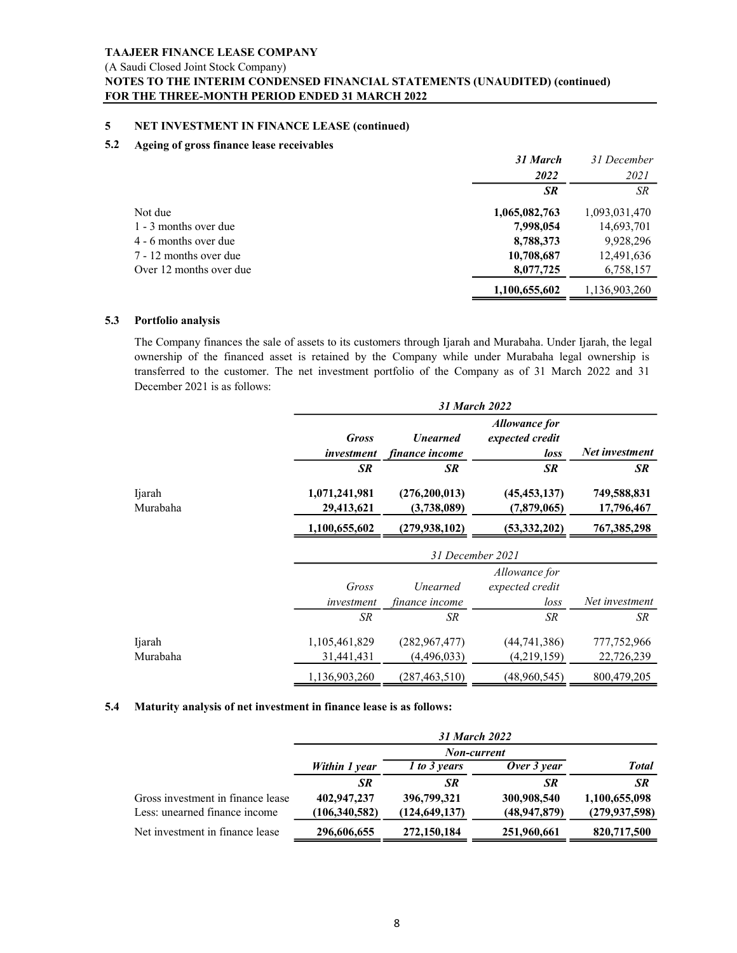### (A Saudi Closed Joint Stock Company)

### NOTES TO THE INTERIM CONDENSED FINANCIAL STATEMENTS (UNAUDITED) (continued) FOR THE THREE-MONTH PERIOD ENDED 31 MARCH 2022

### 5.2 Ageing of gross finance lease receivables

|     | <b>TAAJEER FINANCE LEASE COMPANY</b>                                                                                                                                                                                                                                                                                                                       |                        |                         |
|-----|------------------------------------------------------------------------------------------------------------------------------------------------------------------------------------------------------------------------------------------------------------------------------------------------------------------------------------------------------------|------------------------|-------------------------|
|     |                                                                                                                                                                                                                                                                                                                                                            |                        |                         |
|     |                                                                                                                                                                                                                                                                                                                                                            |                        |                         |
|     |                                                                                                                                                                                                                                                                                                                                                            |                        |                         |
|     |                                                                                                                                                                                                                                                                                                                                                            |                        |                         |
|     |                                                                                                                                                                                                                                                                                                                                                            |                        |                         |
|     |                                                                                                                                                                                                                                                                                                                                                            |                        |                         |
|     |                                                                                                                                                                                                                                                                                                                                                            |                        |                         |
|     | (A Saudi Closed Joint Stock Company)                                                                                                                                                                                                                                                                                                                       |                        |                         |
|     | NOTES TO THE INTERIM CONDENSED FINANCIAL STATEMENTS (UNAUDITED) (continued)<br>FOR THE THREE-MONTH PERIOD ENDED 31 MARCH 2022                                                                                                                                                                                                                              |                        |                         |
| 5   | NET INVESTMENT IN FINANCE LEASE (continued)                                                                                                                                                                                                                                                                                                                |                        |                         |
| 5.2 | Ageing of gross finance lease receivables                                                                                                                                                                                                                                                                                                                  |                        |                         |
|     |                                                                                                                                                                                                                                                                                                                                                            | 31 March<br>2022       | 31 December<br>2021     |
|     |                                                                                                                                                                                                                                                                                                                                                            | SR                     | SR                      |
|     | Not due                                                                                                                                                                                                                                                                                                                                                    | 1,065,082,763          | 1,093,031,470           |
|     | 1 - 3 months over due                                                                                                                                                                                                                                                                                                                                      | 7,998,054<br>8,788,373 | 14,693,701<br>9,928,296 |
|     |                                                                                                                                                                                                                                                                                                                                                            |                        |                         |
|     | 4 - 6 months over due<br>7 - 12 months over due                                                                                                                                                                                                                                                                                                            | 10,708,687             | 12,491,636              |
|     | Over 12 months over due                                                                                                                                                                                                                                                                                                                                    | 8,077,725              | 6,758,157               |
|     |                                                                                                                                                                                                                                                                                                                                                            | 1,100,655,602          | 1,136,903,260           |
| 5.3 | Portfolio analysis                                                                                                                                                                                                                                                                                                                                         |                        |                         |
|     | The Company finances the sale of assets to its customers through Ijarah and Murabaha. Under Ijarah, the legal<br>ownership of the financed asset is retained by the Company while under Murabaha legal ownership is<br>transferred to the customer. The net investment portfolio of the Company as of 31 March 2022 and 31<br>December 2021 is as follows: |                        |                         |

|     |                                                                                                               |                 |                 | 31 March             | 31 December     |
|-----|---------------------------------------------------------------------------------------------------------------|-----------------|-----------------|----------------------|-----------------|
|     |                                                                                                               |                 |                 | 2022                 | 2021            |
|     |                                                                                                               |                 |                 | $S\!R$               | SR              |
|     | Not due                                                                                                       |                 |                 | 1,065,082,763        | 1,093,031,470   |
|     | 1 - 3 months over due                                                                                         |                 |                 | 7,998,054            | 14,693,701      |
|     | 4 - 6 months over due                                                                                         |                 |                 | 8,788,373            | 9,928,296       |
|     |                                                                                                               |                 |                 |                      |                 |
|     | 7 - 12 months over due                                                                                        |                 |                 | 10,708,687           | 12,491,636      |
|     | Over 12 months over due                                                                                       |                 |                 | 8,077,725            | 6,758,157       |
|     |                                                                                                               |                 |                 | 1,100,655,602        | 1,136,903,260   |
| 5.3 | Portfolio analysis                                                                                            |                 |                 |                      |                 |
|     | The Company finances the sale of assets to its customers through Ijarah and Murabaha. Under Ijarah, the legal |                 |                 |                      |                 |
|     | ownership of the financed asset is retained by the Company while under Murabaha legal ownership is            |                 |                 |                      |                 |
|     | transferred to the customer. The net investment portfolio of the Company as of 31 March 2022 and 31           |                 |                 |                      |                 |
|     | December 2021 is as follows:                                                                                  |                 |                 |                      |                 |
|     |                                                                                                               |                 |                 | 31 March 2022        |                 |
|     |                                                                                                               |                 |                 | <b>Allowance for</b> |                 |
|     |                                                                                                               | <b>Gross</b>    | <b>Unearned</b> | expected credit      |                 |
|     |                                                                                                               | investment      | finance income  | loss                 | Net investment  |
|     |                                                                                                               | SR              | <b>SR</b>       | SR                   | <b>SR</b>       |
|     | Ijarah                                                                                                        | 1,071,241,981   | (276,200,013)   | (45, 453, 137)       | 749,588,831     |
|     | Murabaha                                                                                                      | 29,413,621      | (3,738,089)     | (7,879,065)          | 17,796,467      |
|     |                                                                                                               | 1,100,655,602   | (279, 938, 102) | (53, 332, 202)       | 767,385,298     |
|     |                                                                                                               |                 |                 | 31 December 2021     |                 |
|     |                                                                                                               |                 |                 | Allowance for        |                 |
|     |                                                                                                               | Gross           | Unearned        | expected credit      |                 |
|     |                                                                                                               | investment      | finance income  | loss                 | Net investment  |
|     |                                                                                                               | ${\cal SR}$     | $S\!R$          | ${\cal SR}$          | ${\cal SR}$     |
|     | Ijarah                                                                                                        | 1,105,461,829   | (282, 967, 477) | (44, 741, 386)       | 777,752,966     |
|     | Murabaha                                                                                                      |                 |                 |                      |                 |
|     |                                                                                                               | 31,441,431      | (4,496,033)     | (4,219,159)          | 22,726,239      |
|     |                                                                                                               | 1,136,903,260   | (287, 463, 510) | (48,960,545)         | 800,479,205     |
| 5.4 | Maturity analysis of net investment in finance lease is as follows:                                           |                 |                 |                      |                 |
|     |                                                                                                               |                 |                 | 31 March 2022        |                 |
|     |                                                                                                               |                 |                 | Non-current          |                 |
|     |                                                                                                               | Within 1 year   | 1 to 3 years    | Over 3 year          | <b>Total</b>    |
|     |                                                                                                               | <b>SR</b>       | <b>SR</b>       | <b>SR</b>            | SR              |
|     | Gross investment in finance lease                                                                             | 402,947,237     | 396,799,321     | 300,908,540          | 1,100,655,098   |
|     | Less: unearned finance income                                                                                 | (106, 340, 582) | (124, 649, 137) | (48, 947, 879)       | (279, 937, 598) |
|     |                                                                                                               |                 |                 |                      |                 |

|                                   |               | 31 March 2022   |                |                 |
|-----------------------------------|---------------|-----------------|----------------|-----------------|
|                                   |               | Non-current     |                |                 |
|                                   | Within 1 year | l to 3 years    | Over 3 year    | <b>Total</b>    |
|                                   | <b>SR</b>     | <b>SR</b>       | SR             | SR              |
| Gross investment in finance lease | 402,947,237   | 396,799,321     | 300,908,540    | 1,100,655,098   |
| Less: unearned finance income     | (106,340,582) | (124, 649, 137) | (48, 947, 879) | (279, 937, 598) |
| Net investment in finance lease   | 296,606,655   | 272,150,184     | 251,960,661    | 820,717,500     |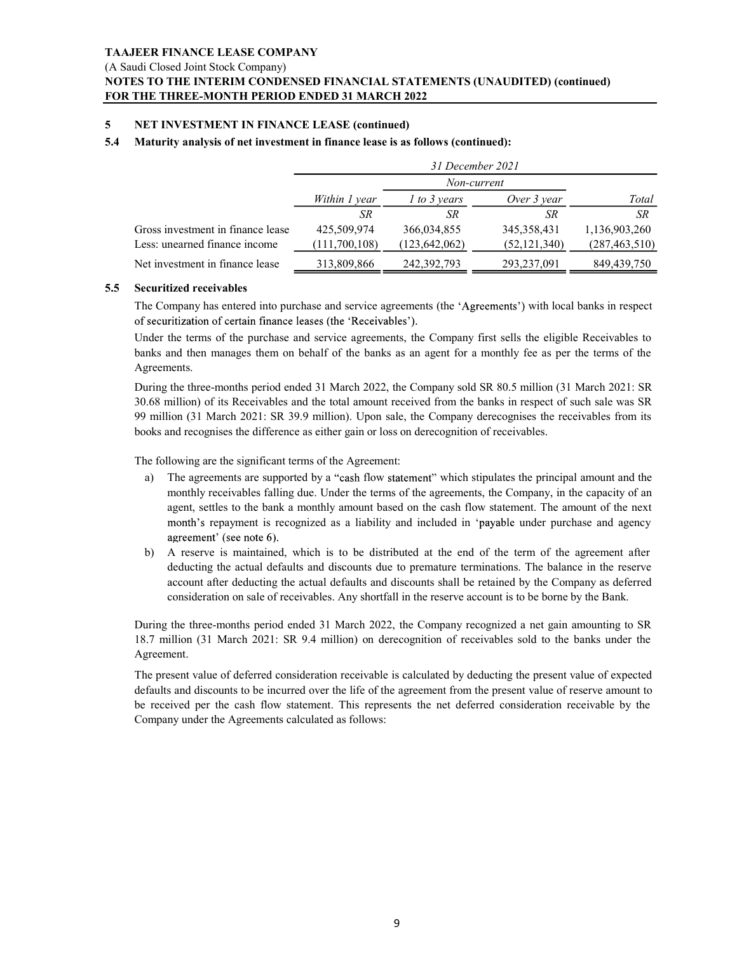### NOTES TO THE INTERIM CONDENSED FINANCIAL STATEMENTS (UNAUDITED) (continued) FOR THE THREE-MONTH PERIOD ENDED 31 MARCH 2022

|     | TAAJEER FINANCE LEASE COMPANY                                                                                                                                                                                                         |                              |                                |                                                                                                        |                                  |  |  |  |  |
|-----|---------------------------------------------------------------------------------------------------------------------------------------------------------------------------------------------------------------------------------------|------------------------------|--------------------------------|--------------------------------------------------------------------------------------------------------|----------------------------------|--|--|--|--|
|     | (A Saudi Closed Joint Stock Company)<br>NOTES TO THE INTERIM CONDENSED FINANCIAL STATEMENTS (UNAUDITED) (continued)                                                                                                                   |                              |                                |                                                                                                        |                                  |  |  |  |  |
|     | FOR THE THREE-MONTH PERIOD ENDED 31 MARCH 2022                                                                                                                                                                                        |                              |                                |                                                                                                        |                                  |  |  |  |  |
| 5   | <b>NET INVESTMENT IN FINANCE LEASE (continued)</b>                                                                                                                                                                                    |                              |                                |                                                                                                        |                                  |  |  |  |  |
| 5.4 | Maturity analysis of net investment in finance lease is as follows (continued):                                                                                                                                                       |                              |                                |                                                                                                        |                                  |  |  |  |  |
|     |                                                                                                                                                                                                                                       | 31 December 2021             |                                |                                                                                                        |                                  |  |  |  |  |
|     |                                                                                                                                                                                                                                       |                              | Non-current                    |                                                                                                        |                                  |  |  |  |  |
|     |                                                                                                                                                                                                                                       | Within 1 year<br>${\cal SR}$ | $1$ to 3 years<br>SR           | Over 3 year<br><b>SR</b>                                                                               | Total<br>SR                      |  |  |  |  |
|     | Gross investment in finance lease<br>Less: unearned finance income                                                                                                                                                                    | 425,509,974<br>(111,700,108) | 366,034,855<br>(123, 642, 062) | 345,358,431<br>(52, 121, 340)                                                                          | 1,136,903,260<br>(287, 463, 510) |  |  |  |  |
|     | Net investment in finance lease                                                                                                                                                                                                       | 313,809,866                  | 242,392,793                    | 293,237,091                                                                                            | 849,439,750                      |  |  |  |  |
| 5.5 | <b>Securitized receivables</b>                                                                                                                                                                                                        |                              |                                |                                                                                                        |                                  |  |  |  |  |
|     | The Company has entered into purchase and service agreements (the 'Agreements') with local banks in respect<br>of securitization of certain finance leases (the 'Receivables').                                                       |                              |                                |                                                                                                        |                                  |  |  |  |  |
|     | Under the terms of the purchase and service agreements, the Company first sells the eligible Receivables to                                                                                                                           |                              |                                |                                                                                                        |                                  |  |  |  |  |
|     | banks and then manages them on behalf of the banks as an agent for a monthly fee as per the terms of the<br>Agreements.                                                                                                               |                              |                                |                                                                                                        |                                  |  |  |  |  |
|     | During the three-months period ended 31 March 2022, the Company sold SR 80.5 million (31 March 2021: SR<br>30.68 million) of its Receivables and the total amount received from the banks in respect of such sale was SR              |                              |                                |                                                                                                        |                                  |  |  |  |  |
|     | 99 million (31 March 2021: SR 39.9 million). Upon sale, the Company derecognises the receivables from its                                                                                                                             |                              |                                |                                                                                                        |                                  |  |  |  |  |
|     | books and recognises the difference as either gain or loss on derecognition of receivables.                                                                                                                                           |                              |                                |                                                                                                        |                                  |  |  |  |  |
|     | The following are the significant terms of the Agreement:                                                                                                                                                                             |                              |                                |                                                                                                        |                                  |  |  |  |  |
|     | The agreements are supported by a "cash flow statement" which stipulates the principal amount and the<br>a)<br>monthly receivables falling due. Under the terms of the agreements, the Company, in the capacity of an                 |                              |                                |                                                                                                        |                                  |  |  |  |  |
|     | agent, settles to the bank a monthly amount based on the cash flow statement. The amount of the next<br>month's repayment is recognized as a liability and included in 'payable under purchase and agency<br>agreement' (see note 6). |                              |                                |                                                                                                        |                                  |  |  |  |  |
|     | A reserve is maintained, which is to be distributed at the end of the term of the agreement after<br>b)<br>deducting the actual defaults and discounts due to premature terminations. The balance in the reserve                      |                              |                                | account after deducting the actual defaults and discounts shall be retained by the Company as deferred |                                  |  |  |  |  |

- a) The agreements are supported by a "cash flow statement" which stipulates the principal amount and the Agreements.<br>
During the three-months period ended 31 March 2022, the Company sold SR 80.5 million (31 March 2021: SR<br>
30.08 million) of its Receivables and the total amount received from the banks in respect of such sale w During the three-months period ended 31 March 2022, the Company sold SR 80.5 million (31 March 2021: SR 20.66 million) of its Receivables and the toutal amount receivables more the beals are specified from the banks in res 30.68 million) of its Receivables and the total amount received from the banks in respect of such sig to million (31 March 2021: 83.99 million). Upon side, the Company dereceoptische receivables from its books and receopti of securitization of certain finance leases (the 'Receivables').<br>Under the terms of the purchase and entericle agreements, the Company first sells the eligible Receivables to<br>Unding the three-months period ended 31 March 2 Under the terms of the purchase and scrvice agreements, the Company first sells the cligible Receivables to banks and the manages them on behalf of the banks us an agent for a monthly fee as per the terms of the Agreement at in finance lease 425,509,94<br>
inance income 425,509,974 366,034,855 345,358,431 1,136,093,260<br>
inance income  $(111,700,108)$   $(123,642,062)$   $(52,121,340)$   $(287,463,510)$ <br>
in finance lease  $313,809,866$   $242,392,793$  nearned finance income<br>  $\frac{(111,700,108)}{313,809,866}$   $\frac{242,392,793}{293,237,091}$   $\frac{(287,463,510)}{844849,750}$ <br>
estiment in finance lease  $\frac{313,809,866}{242,392,793}$   $\frac{293,237,091}{293,237,091}$   $\frac{849,439,750}{284$ estment in finance lease  $\frac{313,809,866}{2}$   $\frac{242,392,793}{2}$   $\frac{293,237,091}{2}$   $\frac{849,439,750}{280,489,439,750}$ <br>tized receivables<br>ompany has entered into purchase and service agreements (the 'Agreements') with loca **Exact receivables**<br> **Example 19** so entern finance leases (the 'Agreements' (the 'Agreements') with local banks in respect<br>
trivation of creatin finance leases (the 'Receivables').<br>
the terms of the purchase and service a
	- b) A reserve is maintained, which is to be distributed at the end of the term of the agreement after consideration on sale of receivables. Any shortfall in the reserve account is to be borne by the Bank.

Agreement.

Company under the Agreements calculated as follows: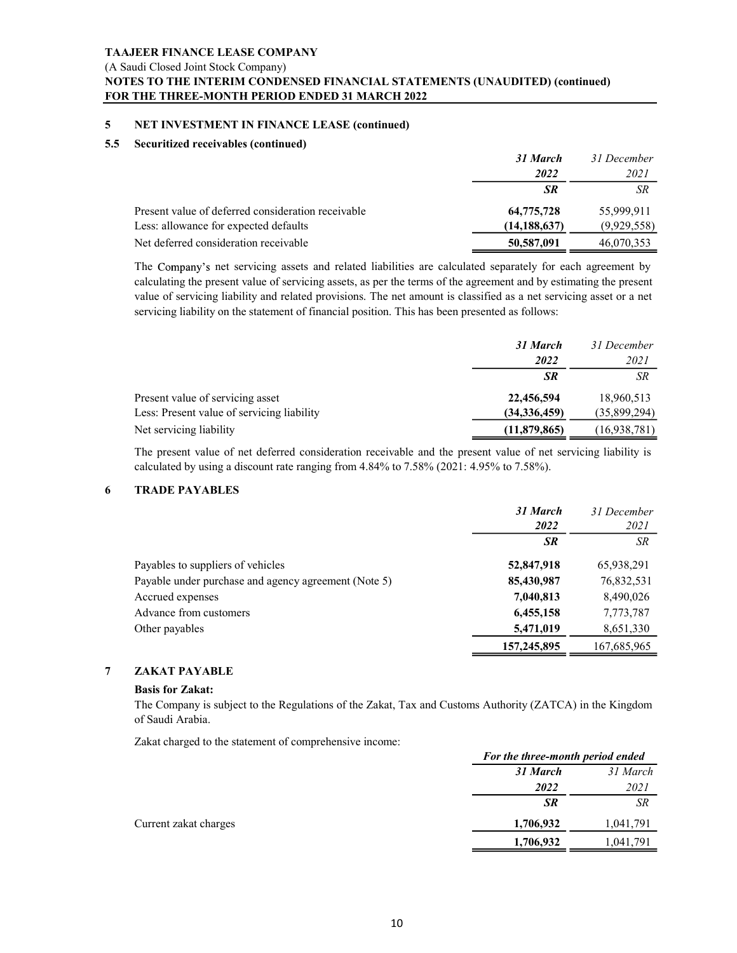### NOTES TO THE INTERIM CONDENSED FINANCIAL STATEMENTS (UNAUDITED) (continued) FOR THE THREE-MONTH PERIOD ENDED 31 MARCH 2022

### 5.5 Securitized receivables (continued)

|     | TAAJEER FINANCE LEASE COMPANY                                                                                                                                                                                                    |                              |                           |
|-----|----------------------------------------------------------------------------------------------------------------------------------------------------------------------------------------------------------------------------------|------------------------------|---------------------------|
|     | (A Saudi Closed Joint Stock Company)                                                                                                                                                                                             |                              |                           |
|     | NOTES TO THE INTERIM CONDENSED FINANCIAL STATEMENTS (UNAUDITED) (continued)                                                                                                                                                      |                              |                           |
|     | FOR THE THREE-MONTH PERIOD ENDED 31 MARCH 2022                                                                                                                                                                                   |                              |                           |
| 5   | NET INVESTMENT IN FINANCE LEASE (continued)                                                                                                                                                                                      |                              |                           |
| 5.5 | Securitized receivables (continued)                                                                                                                                                                                              |                              |                           |
|     |                                                                                                                                                                                                                                  | 31 March                     | 31 December               |
|     |                                                                                                                                                                                                                                  | 2022<br>SR                   | 2021<br>${\cal SR}$       |
|     |                                                                                                                                                                                                                                  |                              |                           |
|     |                                                                                                                                                                                                                                  |                              |                           |
|     | Present value of deferred consideration receivable                                                                                                                                                                               | 64,775,728                   | 55,999,911                |
|     | Less: allowance for expected defaults<br>Net deferred consideration receivable                                                                                                                                                   | (14, 188, 637)<br>50,587,091 | (9,929,558)<br>46,070,353 |
|     |                                                                                                                                                                                                                                  |                              |                           |
|     | The Company's net servicing assets and related liabilities are calculated separately for each agreement by<br>calculating the present value of servicing assets, as per the terms of the agreement and by estimating the present |                              |                           |
|     | value of servicing liability and related provisions. The net amount is classified as a net servicing asset or a net<br>servicing liability on the statement of financial position. This has been presented as follows:           |                              |                           |
|     |                                                                                                                                                                                                                                  | 31 March                     | 31 December               |
|     |                                                                                                                                                                                                                                  | 2022                         | 2021                      |

| 5.5 | <b>Securitized receivables (continued)</b>                                                                                                                                                                             |                |              |
|-----|------------------------------------------------------------------------------------------------------------------------------------------------------------------------------------------------------------------------|----------------|--------------|
|     |                                                                                                                                                                                                                        | 31 March       | 31 December  |
|     |                                                                                                                                                                                                                        | 2022           | 2021         |
|     |                                                                                                                                                                                                                        | <b>SR</b>      | SR           |
|     | Present value of deferred consideration receivable                                                                                                                                                                     | 64,775,728     | 55,999,911   |
|     | Less: allowance for expected defaults                                                                                                                                                                                  | (14, 188, 637) | (9,929,558)  |
|     | Net deferred consideration receivable                                                                                                                                                                                  | 50,587,091     | 46,070,353   |
|     | value of servicing liability and related provisions. The net amount is classified as a net servicing asset or a net<br>servicing liability on the statement of financial position. This has been presented as follows: |                |              |
|     |                                                                                                                                                                                                                        | 31 March       | 31 December  |
|     |                                                                                                                                                                                                                        | 2022           | 2021         |
|     |                                                                                                                                                                                                                        | <b>SR</b>      | SR           |
|     | Present value of servicing asset                                                                                                                                                                                       | 22,456,594     | 18,960,513   |
|     | Less: Present value of servicing liability                                                                                                                                                                             | (34, 336, 459) | (35,899,294) |
|     | Net servicing liability                                                                                                                                                                                                | (11,879,865)   | (16,938,781) |
|     | The present value of net deferred consideration receivable and the present value of net servicing liability is<br>calculated by using a discount rate ranging from 4.84% to 7.58% (2021: 4.95% to 7.58%).              |                |              |
|     | <b>TRADE PAYABLES</b>                                                                                                                                                                                                  |                |              |
|     |                                                                                                                                                                                                                        | 31 March       | 31 December  |
|     |                                                                                                                                                                                                                        | 2022           | 2021         |
|     |                                                                                                                                                                                                                        | <b>SR</b>      | SR           |
|     | Payables to suppliers of vehicles                                                                                                                                                                                      | 52,847,918     | 65,938,291   |

|   |                                                                                                                                                                                                           | <i><b>2022</b></i>                           | <i>2021</i>         |
|---|-----------------------------------------------------------------------------------------------------------------------------------------------------------------------------------------------------------|----------------------------------------------|---------------------|
|   |                                                                                                                                                                                                           | SR                                           | SR                  |
|   | Present value of servicing asset                                                                                                                                                                          | 22,456,594                                   | 18,960,513          |
|   | Less: Present value of servicing liability                                                                                                                                                                | (34, 336, 459)                               | (35,899,294)        |
|   | Net servicing liability                                                                                                                                                                                   | (11,879,865)                                 | (16,938,781)        |
|   | The present value of net deferred consideration receivable and the present value of net servicing liability is<br>calculated by using a discount rate ranging from 4.84% to 7.58% (2021: 4.95% to 7.58%). |                                              |                     |
| 6 | <b>TRADE PAYABLES</b>                                                                                                                                                                                     |                                              |                     |
|   |                                                                                                                                                                                                           | 31 March<br>2022                             | 31 December<br>2021 |
|   |                                                                                                                                                                                                           | SR                                           | SR                  |
|   | Payables to suppliers of vehicles                                                                                                                                                                         | 52,847,918                                   | 65,938,291          |
|   | Payable under purchase and agency agreement (Note 5)                                                                                                                                                      | 85,430,987                                   | 76,832,531          |
|   | Accrued expenses                                                                                                                                                                                          | 7,040,813                                    | 8,490,026           |
|   | Advance from customers                                                                                                                                                                                    | 6,455,158                                    | 7,773,787           |
|   | Other payables                                                                                                                                                                                            | 5,471,019                                    | 8,651,330           |
|   |                                                                                                                                                                                                           | 157,245,895                                  | 167,685,965         |
|   | <b>ZAKAT PAYABLE</b>                                                                                                                                                                                      |                                              |                     |
|   | <b>Basis for Zakat:</b><br>The Company is subject to the Regulations of the Zakat, Tax and Customs Authority (ZATCA) in the Kingdom<br>of Saudi Arabia.                                                   |                                              |                     |
|   | Zakat charged to the statement of comprehensive income:                                                                                                                                                   |                                              |                     |
|   |                                                                                                                                                                                                           | For the three-month period ended<br>31 March | 31 March            |
|   |                                                                                                                                                                                                           | 0.000                                        | 0.021               |

### Basis for Zakat:

| 31 March  | 31 March  |                                  |
|-----------|-----------|----------------------------------|
| 2022      | 2021      |                                  |
| SR        | SR        |                                  |
| 1,706,932 | 1,041,791 |                                  |
| 1,706,932 | 1,041,791 |                                  |
|           |           | For the three-month period ended |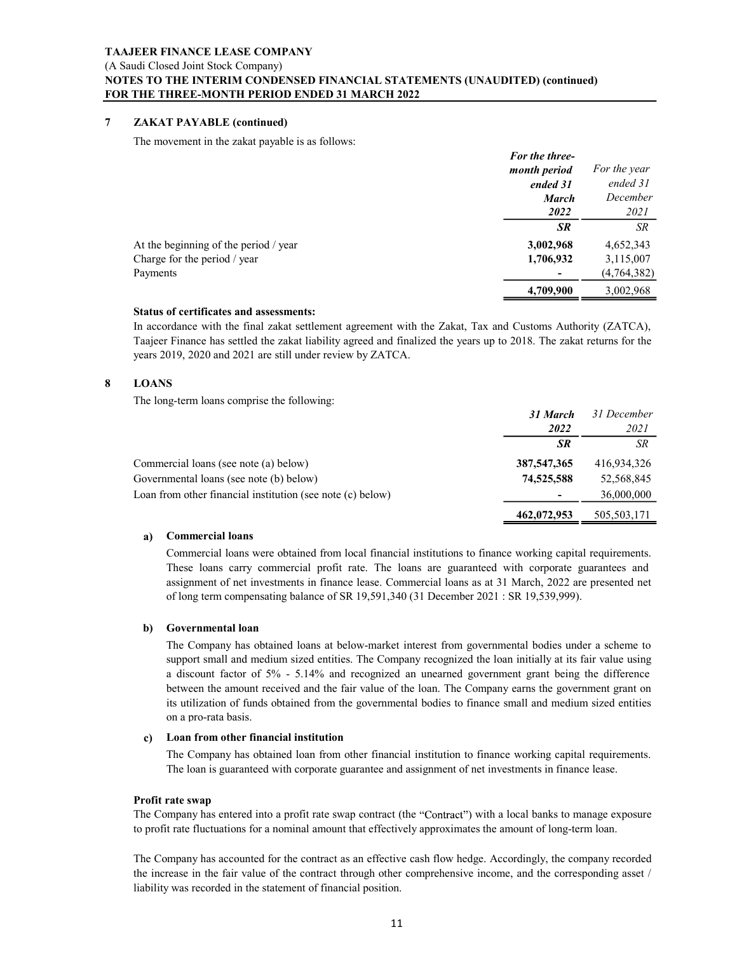### NOTES TO THE INTERIM CONDENSED FINANCIAL STATEMENTS (UNAUDITED) (continued) FOR THE THREE-MONTH PERIOD ENDED 31 MARCH 2022

|   | <b>TAAJEER FINANCE LEASE COMPANY</b><br>(A Saudi Closed Joint Stock Company)                                                                                                                                                                                                                     |                                |                          |
|---|--------------------------------------------------------------------------------------------------------------------------------------------------------------------------------------------------------------------------------------------------------------------------------------------------|--------------------------------|--------------------------|
|   | NOTES TO THE INTERIM CONDENSED FINANCIAL STATEMENTS (UNAUDITED) (continued)                                                                                                                                                                                                                      |                                |                          |
|   | FOR THE THREE-MONTH PERIOD ENDED 31 MARCH 2022                                                                                                                                                                                                                                                   |                                |                          |
| 7 | <b>ZAKAT PAYABLE (continued)</b>                                                                                                                                                                                                                                                                 |                                |                          |
|   | The movement in the zakat payable is as follows:                                                                                                                                                                                                                                                 |                                |                          |
|   |                                                                                                                                                                                                                                                                                                  | For the three-<br>month period | For the year             |
|   |                                                                                                                                                                                                                                                                                                  | ended 31                       | ended 31                 |
|   |                                                                                                                                                                                                                                                                                                  | <b>March</b><br>2022           | December<br>2021         |
|   |                                                                                                                                                                                                                                                                                                  | SR                             | ${\cal SR}$              |
|   | At the beginning of the period / year                                                                                                                                                                                                                                                            | 3,002,968                      | 4,652,343                |
|   | Charge for the period / year                                                                                                                                                                                                                                                                     | 1,706,932                      | 3,115,007                |
|   | Payments                                                                                                                                                                                                                                                                                         | 4,709,900                      | (4,764,382)<br>3,002,968 |
|   | Status of certificates and assessments:                                                                                                                                                                                                                                                          |                                |                          |
|   | In accordance with the final zakat settlement agreement with the Zakat, Tax and Customs Authority (ZATCA),<br>Taajeer Finance has settled the zakat liability agreed and finalized the years up to 2018. The zakat returns for the<br>years 2019, 2020 and 2021 are still under review by ZATCA. |                                |                          |
| 8 | <b>LOANS</b>                                                                                                                                                                                                                                                                                     |                                |                          |
|   | The long-term loans comprise the following:                                                                                                                                                                                                                                                      |                                |                          |
|   |                                                                                                                                                                                                                                                                                                  | 31 March<br>2022               | 31 December<br>2021      |
|   |                                                                                                                                                                                                                                                                                                  | SR                             | ${\cal SR}$              |
|   |                                                                                                                                                                                                                                                                                                  |                                |                          |

### Status of certificates and assessments:

|              | At the beginning of the period / year                                                                                             | 3,002,968     | 4,652,343     |
|--------------|-----------------------------------------------------------------------------------------------------------------------------------|---------------|---------------|
|              | Charge for the period / year                                                                                                      | 1,706,932     | 3,115,007     |
| Payments     |                                                                                                                                   |               | (4, 764, 382) |
|              |                                                                                                                                   | 4,709,900     | 3,002,968     |
|              | <b>Status of certificates and assessments:</b>                                                                                    |               |               |
|              | In accordance with the final zakat settlement agreement with the Zakat, Tax and Customs Authority (ZATCA),                        |               |               |
|              | Taajeer Finance has settled the zakat liability agreed and finalized the years up to 2018. The zakat returns for the              |               |               |
|              | years 2019, 2020 and 2021 are still under review by ZATCA.                                                                        |               |               |
| <b>LOANS</b> |                                                                                                                                   |               |               |
|              | The long-term loans comprise the following:                                                                                       |               |               |
|              |                                                                                                                                   | 31 March      | 31 December   |
|              |                                                                                                                                   | 2022          | 2021          |
|              |                                                                                                                                   | SR            | SR            |
|              | Commercial loans (see note (a) below)                                                                                             | 387, 547, 365 | 416,934,326   |
|              | Governmental loans (see note (b) below)                                                                                           | 74,525,588    | 52,568,845    |
|              | Loan from other financial institution (see note (c) below)                                                                        |               | 36,000,000    |
|              |                                                                                                                                   | 462,072,953   | 505,503,171   |
| a)           | <b>Commercial loans</b>                                                                                                           |               |               |
|              | Commercial loans were obtained from local financial institutions to finance working capital requirements.                         |               |               |
|              | These loans carry commercial profit rate. The loans are guaranteed with corporate guarantees and                                  |               |               |
|              | assignment of net investments in finance lease. Commercial loans as at 31 March, 2022 are presented net                           |               |               |
|              | of long term compensating balance of SR 19,591,340 (31 December 2021 : SR 19,539,999).                                            |               |               |
|              |                                                                                                                                   |               |               |
| b)           | Governmental loan                                                                                                                 |               |               |
|              | The Company has obtained loans at below-market interest from governmental bodies under a scheme to                                |               |               |
|              | support small and medium sized entities. The Company recognized the loan initially at its fair value using                        |               |               |
|              | a discount factor of 5% - 5.14% and recognized an unearned government grant being the difference                                  |               |               |
|              | between the amount received and the fair value of the loan. The Company earns the government grant on                             |               |               |
|              | its utilization of funds obtained from the governmental bodies to finance small and medium sized entities<br>on a pro-rata basis. |               |               |
|              |                                                                                                                                   |               |               |
| C)           | Loan from other financial institution                                                                                             |               |               |
|              | The Company has obtained loan from other financial institution to finance working capital requirements.                           |               |               |
|              | The loan is guaranteed with corporate guarantee and assignment of net investments in finance lease.                               |               |               |

### a) Commercial loans

### b) Governmental loan

Comprehend loans wave obtained from local financial institutions to finance are parameted with corporate guarantees and<br>assignment of net investments in finance lease. Commercial loans are guaranted with corporate guarant These loans carry commercial profit rate. The loans are generated with copyonic assignment of net investments in finance lesse. Commercial loans as at 31 March, 2022 are presented net of long term compressaints balance of The Company company is obtained loan for the Company company and the Company has obtained the Company of the Company company of the Company company company company company company company company company company company c on a pro-rata basis. **462,072,953 Commercial loans**<br> **Commercial loans**<br> **Commercial montantial profit rate.** The loans are guaranteed with conjointe guarantees and<br>
assignment of the investments in finance lease. Commercial loans<br>
of onget

### c) Loan from other financial institution

### Profit rate swap

to profit rate fluctuations for a nominal amount that effectively approximates the amount of long-term loan.

liability was recorded in the statement of financial position.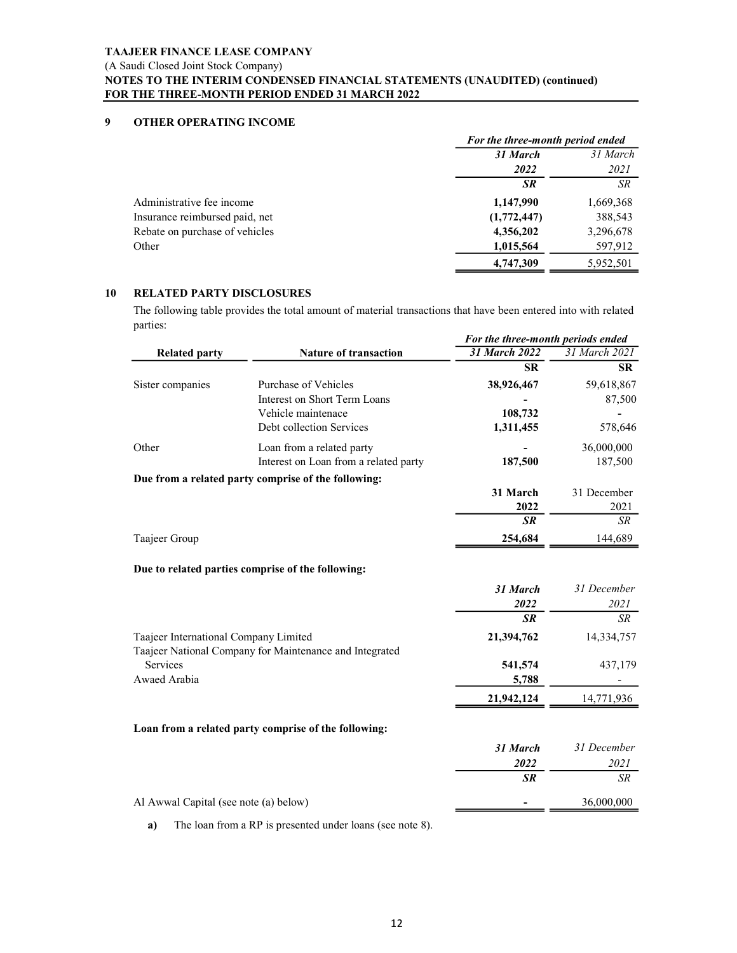|    | <b>TAAJEER FINANCE LEASE COMPANY</b> |                                                                                                                               |                                     |                       |
|----|--------------------------------------|-------------------------------------------------------------------------------------------------------------------------------|-------------------------------------|-----------------------|
|    | (A Saudi Closed Joint Stock Company) |                                                                                                                               |                                     |                       |
|    |                                      | NOTES TO THE INTERIM CONDENSED FINANCIAL STATEMENTS (UNAUDITED) (continued)<br>FOR THE THREE-MONTH PERIOD ENDED 31 MARCH 2022 |                                     |                       |
|    |                                      |                                                                                                                               |                                     |                       |
| q  | OTHER OPERATING INCOME               |                                                                                                                               |                                     |                       |
|    |                                      |                                                                                                                               | For the three-month period ended    |                       |
|    |                                      |                                                                                                                               | 31 March                            | 31 March              |
|    |                                      |                                                                                                                               | 2022                                | 2021                  |
|    |                                      |                                                                                                                               | SR                                  | ${\cal SR}$           |
|    | Administrative fee income            |                                                                                                                               | 1,147,990                           | 1,669,368             |
|    | Insurance reimbursed paid, net       |                                                                                                                               | (1,772,447)                         | 388,543               |
|    | Rebate on purchase of vehicles       |                                                                                                                               | 4,356,202                           | 3,296,678             |
|    | Other                                |                                                                                                                               | 1,015,564                           | 597,912               |
|    |                                      |                                                                                                                               | 4,747,309                           | 5,952,501             |
|    |                                      |                                                                                                                               |                                     |                       |
| 10 | <b>RELATED PARTY DISCLOSURES</b>     |                                                                                                                               |                                     |                       |
|    | parties:                             | The following table provides the total amount of material transactions that have been entered into with related               |                                     |                       |
|    |                                      |                                                                                                                               | For the three-month periods ended   |                       |
|    | <b>Related party</b>                 | <b>Nature of transaction</b>                                                                                                  | 31 March 2022                       | 31 March 2021         |
|    |                                      |                                                                                                                               | SR                                  | SR                    |
|    | Sister companies                     | Purchase of Vehicles                                                                                                          | 38,926,467                          | 59,618,867            |
|    |                                      | Interest on Short Term Loans                                                                                                  |                                     | 87,500                |
|    |                                      | Vehicle maintenace                                                                                                            | 108,732                             | $\blacksquare$        |
|    |                                      | Debt collection Services                                                                                                      | 1,311,455                           | 578,646               |
|    | Other                                | Loan from a related party<br>Interest on Loan from a related party                                                            | $\overline{\phantom{a}}$<br>187,500 | 36,000,000<br>187,500 |
|    |                                      |                                                                                                                               |                                     |                       |

|                                       |                                                                                                                 | For the three-month period ended  |               |
|---------------------------------------|-----------------------------------------------------------------------------------------------------------------|-----------------------------------|---------------|
|                                       |                                                                                                                 | 31 March                          | 31 March      |
|                                       |                                                                                                                 | 2022                              | 2021          |
|                                       |                                                                                                                 | SR                                | ${\cal SR}$   |
| Administrative fee income             |                                                                                                                 | 1,147,990                         | 1,669,368     |
| Insurance reimbursed paid, net        |                                                                                                                 | (1,772,447)                       | 388,543       |
| Rebate on purchase of vehicles        |                                                                                                                 | 4,356,202                         | 3,296,678     |
| Other                                 |                                                                                                                 | 1,015,564                         | 597,912       |
|                                       |                                                                                                                 | 4,747,309                         | 5,952,501     |
| <b>RELATED PARTY DISCLOSURES</b>      |                                                                                                                 |                                   |               |
| parties:                              | The following table provides the total amount of material transactions that have been entered into with related |                                   |               |
|                                       |                                                                                                                 | For the three-month periods ended |               |
| <b>Related party</b>                  | <b>Nature of transaction</b>                                                                                    | <b>31 March 2022</b>              | 31 March 2021 |
|                                       |                                                                                                                 | SR                                | SR            |
| Sister companies                      | Purchase of Vehicles                                                                                            | 38,926,467                        | 59,618,867    |
|                                       | Interest on Short Term Loans                                                                                    |                                   | 87,500        |
|                                       | Vehicle maintenace                                                                                              | 108,732                           |               |
|                                       | Debt collection Services                                                                                        | 1,311,455                         | 578,646       |
| Other                                 | Loan from a related party                                                                                       |                                   | 36,000,000    |
|                                       | Interest on Loan from a related party                                                                           | 187,500                           | 187,500       |
|                                       | Due from a related party comprise of the following:                                                             |                                   |               |
|                                       |                                                                                                                 | 31 March                          | 31 December   |
|                                       |                                                                                                                 | 2022<br>SR                        | 2021<br>SR    |
|                                       |                                                                                                                 |                                   |               |
| Taajeer Group                         |                                                                                                                 | 254,684                           | 144,689       |
|                                       | Due to related parties comprise of the following:                                                               |                                   |               |
|                                       |                                                                                                                 | 31 March                          | 31 December   |
|                                       |                                                                                                                 | 2022                              | 2021          |
|                                       |                                                                                                                 | SR                                | SR            |
| Taajeer International Company Limited |                                                                                                                 | 21,394,762                        | 14,334,757    |
|                                       | Taajeer National Company for Maintenance and Integrated                                                         |                                   |               |
| Services                              |                                                                                                                 | 541,574                           | 437,179       |
| Awaed Arabia                          |                                                                                                                 | 5,788                             |               |
|                                       |                                                                                                                 | 21,942,124                        | 14,771,936    |
|                                       | Loan from a related party comprise of the following:                                                            |                                   |               |
|                                       |                                                                                                                 | 31 March                          | 31 December   |
|                                       |                                                                                                                 | 2022                              | 2021          |
|                                       |                                                                                                                 | <b>SR</b>                         | $\sqrt{SR}$   |
| Al Awwal Capital (see note (a) below) |                                                                                                                 |                                   | 36,000,000    |
|                                       |                                                                                                                 |                                   |               |

a) The loan from a RP is presented under loans (see note 8).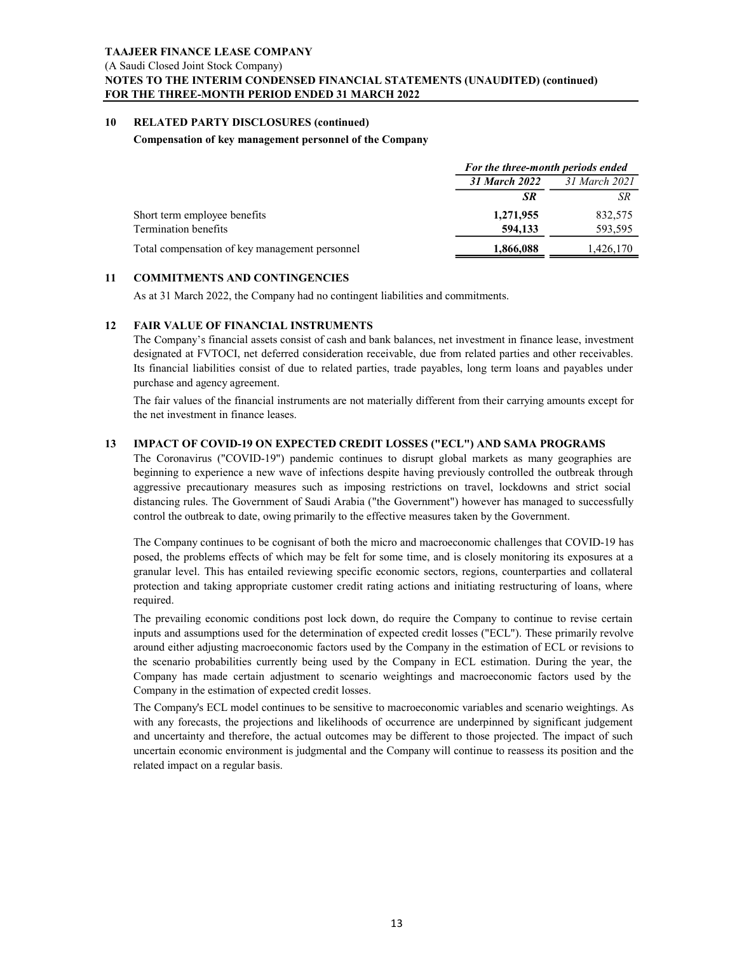### NOTES TO THE INTERIM CONDENSED FINANCIAL STATEMENTS (UNAUDITED) (continued) FOR THE THREE-MONTH PERIOD ENDED 31 MARCH 2022

### Compensation of key management personnel of the Company

|    | TAAJEER FINANCE LEASE COMPANY                                                                                                                                                                                          |                                                           |               |
|----|------------------------------------------------------------------------------------------------------------------------------------------------------------------------------------------------------------------------|-----------------------------------------------------------|---------------|
|    | (A Saudi Closed Joint Stock Company)<br>NOTES TO THE INTERIM CONDENSED FINANCIAL STATEMENTS (UNAUDITED) (continued)                                                                                                    |                                                           |               |
|    | FOR THE THREE-MONTH PERIOD ENDED 31 MARCH 2022                                                                                                                                                                         |                                                           |               |
| 10 | <b>RELATED PARTY DISCLOSURES (continued)</b>                                                                                                                                                                           |                                                           |               |
|    | Compensation of key management personnel of the Company                                                                                                                                                                |                                                           |               |
|    |                                                                                                                                                                                                                        |                                                           |               |
|    |                                                                                                                                                                                                                        | For the three-month periods ended<br><b>31 March 2022</b> | 31 March 2021 |
|    |                                                                                                                                                                                                                        | <b>SR</b>                                                 | SR            |
|    | Short term employee benefits                                                                                                                                                                                           | 1,271,955                                                 | 832,575       |
|    | <b>Termination benefits</b>                                                                                                                                                                                            | 594,133                                                   | 593,595       |
|    | Total compensation of key management personnel                                                                                                                                                                         | 1,866,088                                                 | 1,426,170     |
| 11 | <b>COMMITMENTS AND CONTINGENCIES</b>                                                                                                                                                                                   |                                                           |               |
|    | As at 31 March 2022, the Company had no contingent liabilities and commitments.                                                                                                                                        |                                                           |               |
|    |                                                                                                                                                                                                                        |                                                           |               |
| 12 | <b>FAIR VALUE OF FINANCIAL INSTRUMENTS</b><br>The Company's financial assets consist of cash and bank balances, net investment in finance lease, investment                                                            |                                                           |               |
|    | designated at FVTOCI, net deferred consideration receivable, due from related parties and other receivables.                                                                                                           |                                                           |               |
|    | Its financial liabilities consist of due to related parties, trade payables, long term loans and payables under                                                                                                        |                                                           |               |
|    | purchase and agency agreement.                                                                                                                                                                                         |                                                           |               |
|    | The fair values of the financial instruments are not materially different from their carrying amounts except for<br>the net investment in finance leases.                                                              |                                                           |               |
|    |                                                                                                                                                                                                                        |                                                           |               |
| 13 | IMPACT OF COVID-19 ON EXPECTED CREDIT LOSSES ("ECL") AND SAMA PROGRAMS<br>The Coronavirus ("COVID-19") pandemic continues to disrupt global markets as many geographies are                                            |                                                           |               |
|    | beginning to experience a new wave of infections despite having previously controlled the outbreak through                                                                                                             |                                                           |               |
|    | aggressive precautionary measures such as imposing restrictions on travel, lockdowns and strict social                                                                                                                 |                                                           |               |
|    | distancing rules. The Government of Saudi Arabia ("the Government") however has managed to successfully<br>control the outbreak to date, owing primarily to the effective measures taken by the Government.            |                                                           |               |
|    |                                                                                                                                                                                                                        |                                                           |               |
|    | The Company continues to be cognisant of both the micro and macroeconomic challenges that COVID-19 has<br>posed, the problems effects of which may be felt for some time, and is closely monitoring its exposures at a |                                                           |               |
|    |                                                                                                                                                                                                                        |                                                           |               |

The Company continues to be cognisant of both the micro and macroeconomic challenges that COVID-19 has Total compensation of key management personnel<br> **COMMITMENTS AND CONTINGENCIES**<br>
As at 31 March 2022, the Company had no continent labilities and commitments.<br> **FARE VALUE ATE FOR MICHIMENTS**<br> **FARE VALUE ATE COMPATIAT AND COMMITMENTS AND CONTINGENCIES**<br>As at 31 March 2022, the Company had no contingent liabilities and commitments.<br>The Company's financial assets consist of cash and bank balances, net investment in finance lease, investment<br> **COMMITMENTS AND CONTINGENCIES**<br> **PARE VALUE OF PRINANCIAL INSTRUINTENTS**<br> **PARE VALUE OF PRINANCIAL INSTRUINTENTS**<br> **PARE VALUE OF PRINANCIAL INSTRUINTENTS**<br> **PARE VALUE OF PRINANCIAL INSTRUINTS**<br> **Designated at PYTOCI**, required.

FAIR VALUE OF FINANCIAL INSTRUMENTS<br>The Company's financel assess consist of east and bank balances, not investment in finance leases, investment<br>designated at FVTOCI, net deferred consideration receivable, due from relate FAIR VALUE OF FINANCIAL INSTRUMENTS<br>THE Company's financial assets consist of eastl and bank balances, net investment in finance lease, investment<br>designated at FVTOCI, net determed consideration receivable, due from relat The Company's financial assess consist of eash and bank balances, rea investment in finance lease, movement<br>The Company is financial intervalses consists of due to clated particle, due from related partics and obter receiv designated at FVTOCI, net deformed consideration receivables, due from related partics and other receivables.<br>Its financial liabilities consist of due to related partics, trade payobles, long term loans and payobles under<br> Its framcelial liabilities consists of the certain distribution of perticles in space and magnifical certain sure perticles and agency agreement.<br>The fair values of the financial instruments are not materially different fr Company in the estimation of expected credit losses. the net investment in finance leases.<br>
MPACT OF COVID-19 ON EXPECTED CREDIT LOSSES ("ECL") AND SAMA PROGRAMS<br>
The Coronnavirus ("COVID-19") pandemic continues to disrupt global markets as many geographies are<br>
Registrative IMPACT OF COVID-19 ON EXPECTED CREDIT LOSSES ("ECL") AND SAMA PROGRAMS<br>The Coronavirus ("COVID-19") pandenic continues to disrupt global markets as many geographies are<br>regensing to experience a new wave of infections desp IMPACT OF COVID-19 ON EXPPECTED CREDIT LOSIES ("PCL") AND SAMA PROGRAMS (THE Coronavins ("COVID-19") pandemic continues to disrupt global markets as many geographies are beginning to experience a new wave of infections de

The Company's ECL model continues to be sensitive to macroeconomic variables and scenario weightings.As related impact on a regular basis.